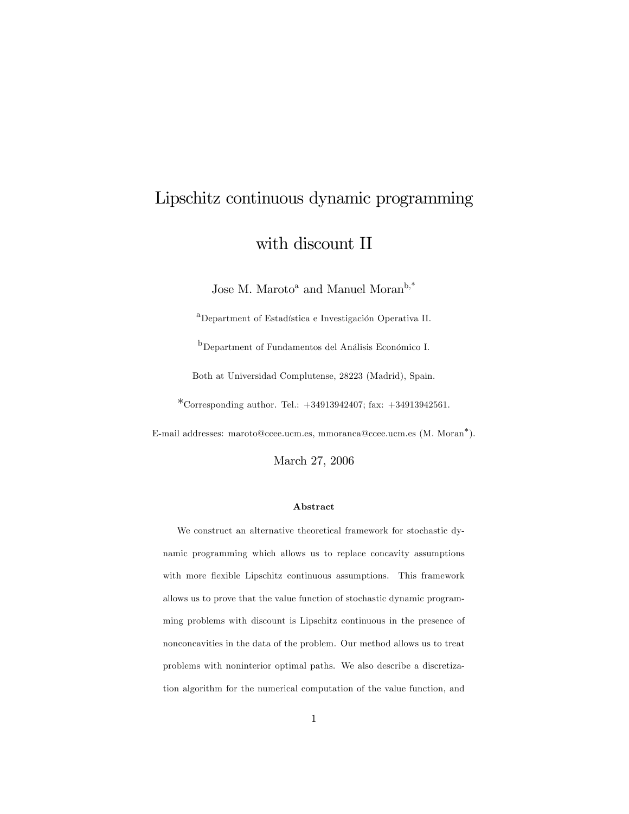# Lipschitz continuous dynamic programming with discount II

Jose M. Maroto<sup>a</sup> and Manuel Moran<sup>b,\*</sup>

<sup>a</sup>Department of Estadística e Investigación Operativa II.

b<sub>Department</sub> of Fundamentos del Análisis Económico I.

Both at Universidad Complutense, 28223 (Madrid), Spain.

\*Corresponding author. Tel.:  $+34913942407$ ; fax:  $+34913942561$ .

E-mail addresses: maroto@ccee.ucm.es, mmoranca@ccee.ucm.es (M. Moran ).

March 27, 2006

#### Abstract

We construct an alternative theoretical framework for stochastic dynamic programming which allows us to replace concavity assumptions with more flexible Lipschitz continuous assumptions. This framework allows us to prove that the value function of stochastic dynamic programming problems with discount is Lipschitz continuous in the presence of nonconcavities in the data of the problem. Our method allows us to treat problems with noninterior optimal paths. We also describe a discretization algorithm for the numerical computation of the value function, and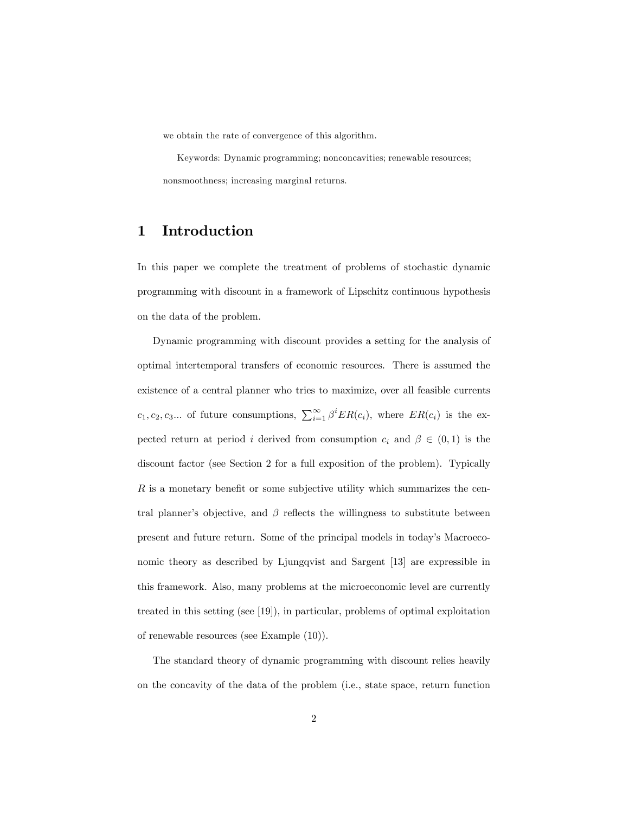we obtain the rate of convergence of this algorithm.

Keywords: Dynamic programming; nonconcavities; renewable resources; nonsmoothness; increasing marginal returns.

## 1 Introduction

In this paper we complete the treatment of problems of stochastic dynamic programming with discount in a framework of Lipschitz continuous hypothesis on the data of the problem.

Dynamic programming with discount provides a setting for the analysis of optimal intertemporal transfers of economic resources. There is assumed the existence of a central planner who tries to maximize, over all feasible currents  $c_1, c_2, c_3...$  of future consumptions,  $\sum_{i=1}^{\infty} \beta^i ER(c_i)$ , where  $ER(c_i)$  is the expected return at period i derived from consumption  $c_i$  and  $\beta \in (0,1)$  is the discount factor (see Section 2 for a full exposition of the problem). Typically  $R$  is a monetary benefit or some subjective utility which summarizes the central planner's objective, and  $\beta$  reflects the willingness to substitute between present and future return. Some of the principal models in today's Macroeconomic theory as described by Ljungqvist and Sargent [13] are expressible in this framework. Also, many problems at the microeconomic level are currently treated in this setting (see [19]), in particular, problems of optimal exploitation of renewable resources (see Example (10)).

The standard theory of dynamic programming with discount relies heavily on the concavity of the data of the problem (i.e., state space, return function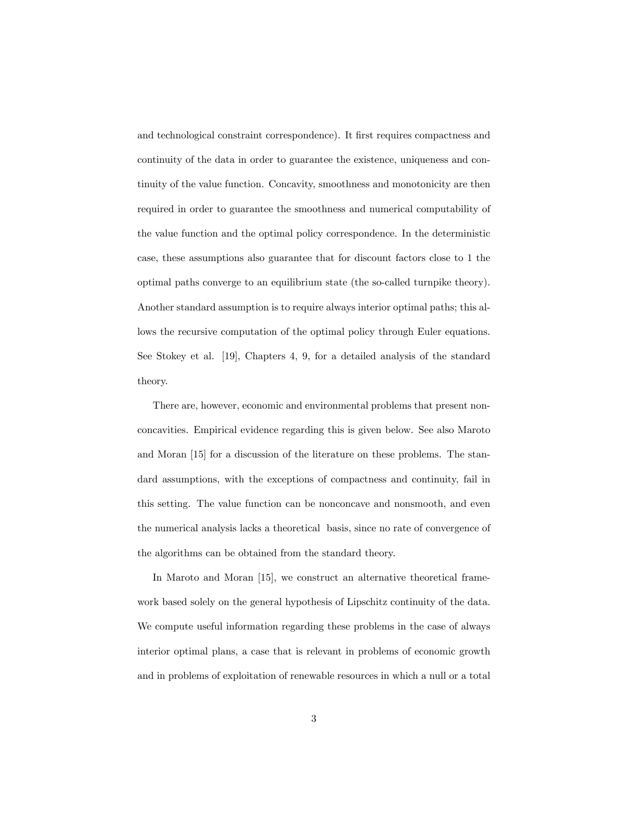and technological constraint correspondence). It first requires compactness and continuity of the data in order to guarantee the existence, uniqueness and continuity of the value function. Concavity, smoothness and monotonicity are then required in order to guarantee the smoothness and numerical computability of the value function and the optimal policy correspondence. In the deterministic case, these assumptions also guarantee that for discount factors close to 1 the optimal paths converge to an equilibrium state (the so-called turnpike theory). Another standard assumption is to require always interior optimal paths; this allows the recursive computation of the optimal policy through Euler equations. See Stokey et al. [19], Chapters 4, 9, for a detailed analysis of the standard theory.

There are, however, economic and environmental problems that present nonconcavities. Empirical evidence regarding this is given below. See also Maroto and Moran [15] for a discussion of the literature on these problems. The standard assumptions, with the exceptions of compactness and continuity, fail in this setting. The value function can be nonconcave and nonsmooth, and even the numerical analysis lacks a theoretical basis, since no rate of convergence of the algorithms can be obtained from the standard theory.

In Maroto and Moran [15], we construct an alternative theoretical framework based solely on the general hypothesis of Lipschitz continuity of the data. We compute useful information regarding these problems in the case of always interior optimal plans, a case that is relevant in problems of economic growth and in problems of exploitation of renewable resources in which a null or a total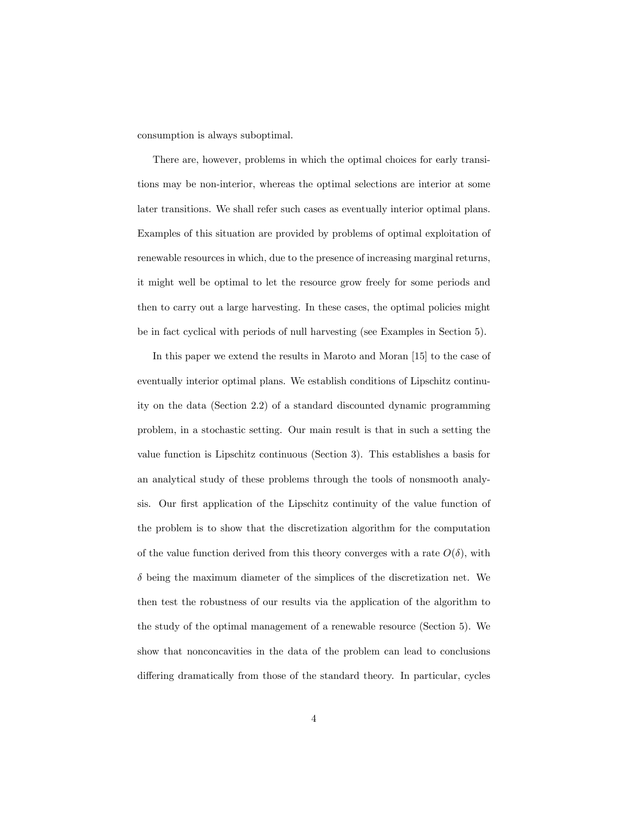consumption is always suboptimal.

There are, however, problems in which the optimal choices for early transitions may be non-interior, whereas the optimal selections are interior at some later transitions. We shall refer such cases as eventually interior optimal plans. Examples of this situation are provided by problems of optimal exploitation of renewable resources in which, due to the presence of increasing marginal returns, it might well be optimal to let the resource grow freely for some periods and then to carry out a large harvesting. In these cases, the optimal policies might be in fact cyclical with periods of null harvesting (see Examples in Section 5).

In this paper we extend the results in Maroto and Moran [15] to the case of eventually interior optimal plans. We establish conditions of Lipschitz continuity on the data (Section 2.2) of a standard discounted dynamic programming problem, in a stochastic setting. Our main result is that in such a setting the value function is Lipschitz continuous (Section 3). This establishes a basis for an analytical study of these problems through the tools of nonsmooth analysis. Our first application of the Lipschitz continuity of the value function of the problem is to show that the discretization algorithm for the computation of the value function derived from this theory converges with a rate  $O(\delta)$ , with  $\delta$  being the maximum diameter of the simplices of the discretization net. We then test the robustness of our results via the application of the algorithm to the study of the optimal management of a renewable resource (Section 5). We show that nonconcavities in the data of the problem can lead to conclusions differing dramatically from those of the standard theory. In particular, cycles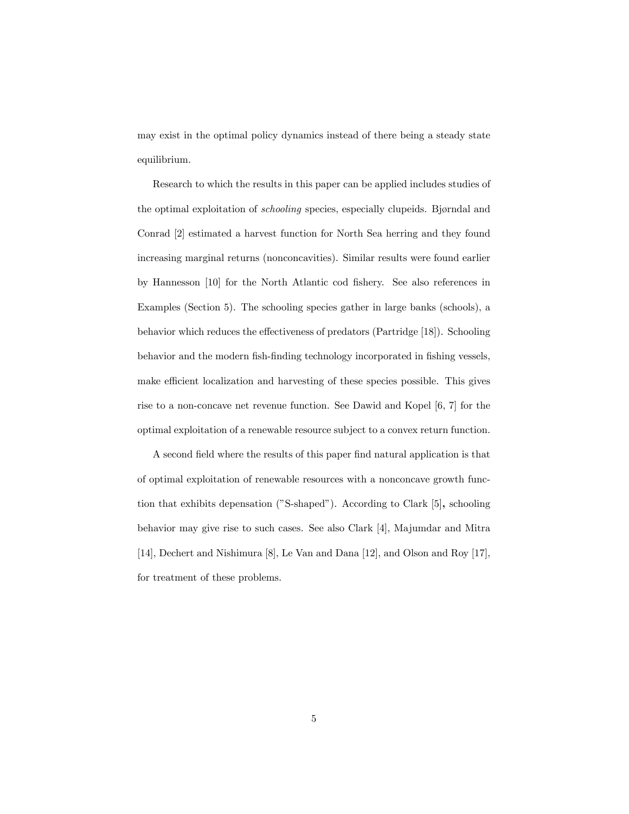may exist in the optimal policy dynamics instead of there being a steady state equilibrium.

Research to which the results in this paper can be applied includes studies of the optimal exploitation of *schooling* species, especially clupeids. Bjørndal and Conrad [2] estimated a harvest function for North Sea herring and they found increasing marginal returns (nonconcavities). Similar results were found earlier by Hannesson [10] for the North Atlantic cod fishery. See also references in Examples (Section 5). The schooling species gather in large banks (schools), a behavior which reduces the effectiveness of predators (Partridge [18]). Schooling behavior and the modern fish-finding technology incorporated in fishing vessels, make efficient localization and harvesting of these species possible. This gives rise to a non-concave net revenue function. See Dawid and Kopel [6, 7] for the optimal exploitation of a renewable resource subject to a convex return function.

A second field where the results of this paper find natural application is that of optimal exploitation of renewable resources with a nonconcave growth function that exhibits depensation ( $\degree$ S-shaped $\degree$ ). According to Clark [5], schooling behavior may give rise to such cases. See also Clark [4], Majumdar and Mitra [14], Dechert and Nishimura [8], Le Van and Dana [12], and Olson and Roy [17], for treatment of these problems.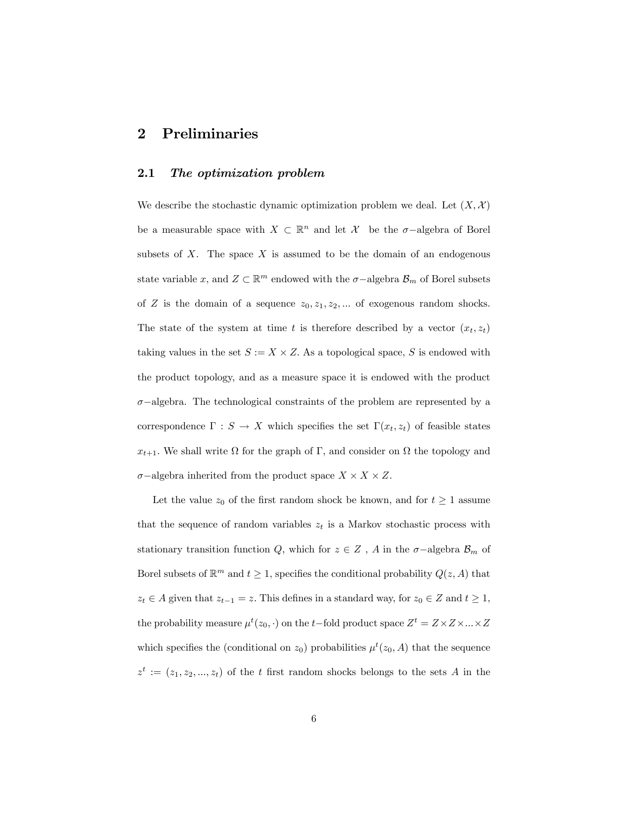## 2 Preliminaries

#### 2.1 The optimization problem

We describe the stochastic dynamic optimization problem we deal. Let  $(X, \mathcal{X})$ be a measurable space with  $X \subset \mathbb{R}^n$  and let  $\mathcal{X}$  be the  $\sigma$ -algebra of Borel subsets of  $X$ . The space  $X$  is assumed to be the domain of an endogenous state variable x, and  $Z \subset \mathbb{R}^m$  endowed with the  $\sigma$ -algebra  $\mathcal{B}_m$  of Borel subsets of Z is the domain of a sequence  $z_0, z_1, z_2, \dots$  of exogenous random shocks. The state of the system at time t is therefore described by a vector  $(x_t, z_t)$ taking values in the set  $S := X \times Z$ . As a topological space, S is endowed with the product topology, and as a measure space it is endowed with the product  $\sigma$ -algebra. The technological constraints of the problem are represented by a correspondence  $\Gamma : S \to X$  which specifies the set  $\Gamma(x_t, z_t)$  of feasible states  $x_{t+1}$ . We shall write  $\Omega$  for the graph of  $\Gamma$ , and consider on  $\Omega$  the topology and  $\sigma$ -algebra inherited from the product space  $X \times X \times Z$ .

Let the value  $z_0$  of the first random shock be known, and for  $t \geq 1$  assume that the sequence of random variables  $z_t$  is a Markov stochastic process with stationary transition function  $Q$ , which for  $z \in Z$ ,  $A$  in the  $\sigma$ -algebra  $\mathcal{B}_m$  of Borel subsets of  $\mathbb{R}^m$  and  $t \geq 1$ , specifies the conditional probability  $Q(z, A)$  that  $z_t \in A$  given that  $z_{t-1} = z$ . This defines in a standard way, for  $z_0 \in Z$  and  $t \ge 1$ , the probability measure  $\mu^t(z_0, \cdot)$  on the t-fold product space  $Z^t = Z \times Z \times ... \times Z$ which specifies the (conditional on  $z_0$ ) probabilities  $\mu^t(z_0, A)$  that the sequence  $z^t := (z_1, z_2, ..., z_t)$  of the t first random shocks belongs to the sets A in the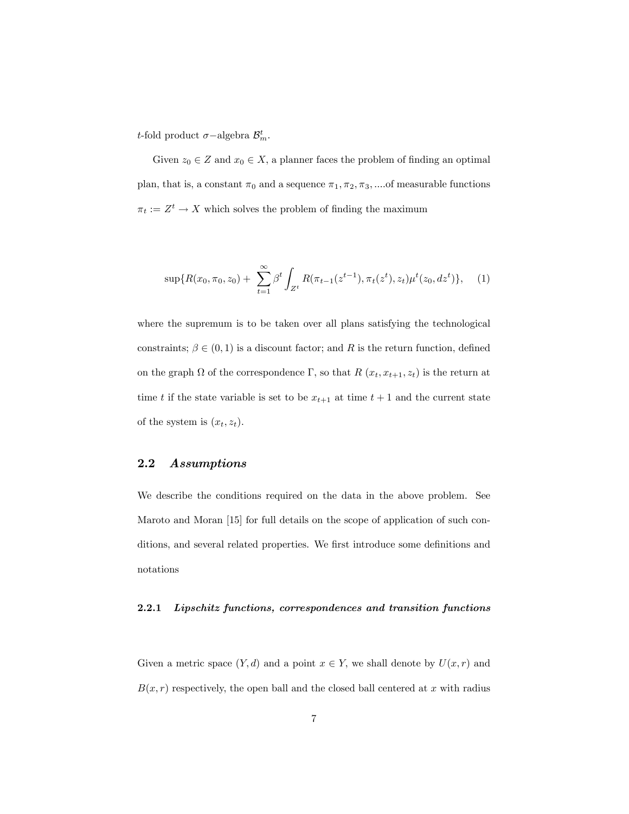*t*-fold product  $\sigma$ -algebra  $\mathcal{B}_m^t$ .

Given  $z_0 \in Z$  and  $x_0 \in X$ , a planner faces the problem of finding an optimal plan, that is, a constant  $\pi_0$  and a sequence  $\pi_1, \pi_2, \pi_3, \dots$  of measurable functions  $\pi_t := Z^t \to X$  which solves the problem of finding the maximum

$$
\sup\{R(x_0,\pi_0,z_0)+\sum_{t=1}^{\infty}\beta^t\int_{Z^t}R(\pi_{t-1}(z^{t-1}),\pi_t(z^t),z_t)\mu^t(z_0,dz^t)\},\quad(1)
$$

where the supremum is to be taken over all plans satisfying the technological constraints;  $\beta \in (0,1)$  is a discount factor; and R is the return function, defined on the graph  $\Omega$  of the correspondence  $\Gamma$ , so that  $R(x_t, x_{t+1}, z_t)$  is the return at time t if the state variable is set to be  $x_{t+1}$  at time  $t+1$  and the current state of the system is  $(x_t, z_t)$ .

#### 2.2 Assumptions

We describe the conditions required on the data in the above problem. See Maroto and Moran [15] for full details on the scope of application of such conditions, and several related properties. We first introduce some definitions and notations

#### 2.2.1 Lipschitz functions, correspondences and transition functions

Given a metric space  $(Y, d)$  and a point  $x \in Y$ , we shall denote by  $U(x, r)$  and  $B(x, r)$  respectively, the open ball and the closed ball centered at x with radius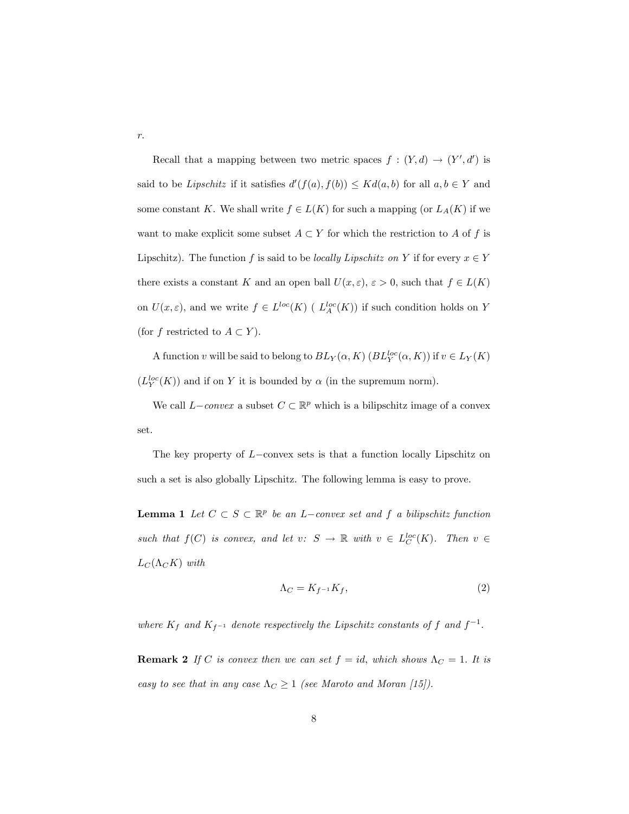Recall that a mapping between two metric spaces  $f : (Y, d) \to (Y', d')$  is said to be *Lipschitz* if it satisfies  $d'(f(a), f(b)) \leq K d(a, b)$  for all  $a, b \in Y$  and some constant K. We shall write  $f \in L(K)$  for such a mapping (or  $L_A(K)$  if we want to make explicit some subset  $A \subset Y$  for which the restriction to A of f is Lipschitz). The function f is said to be *locally Lipschitz on* Y if for every  $x \in Y$ there exists a constant K and an open ball  $U(x, \varepsilon), \varepsilon > 0$ , such that  $f \in L(K)$ on  $U(x,\varepsilon)$ , and we write  $f \in L^{loc}(K)$  (  $L^{loc}_A(K)$ ) if such condition holds on Y (for f restricted to  $A \subset Y$ ).

A function v will be said to belong to  $BL_Y(\alpha, K)$   $(BL_Y^{loc}(\alpha, K))$  if  $v \in L_Y(K)$  $(L_Y^{loc}(K))$  and if on Y it is bounded by  $\alpha$  (in the supremum norm).

We call  $L-convex$  a subset  $C \subset \mathbb{R}^p$  which is a bilipschitz image of a convex set.

The key property of  $L$ -convex sets is that a function locally Lipschitz on such a set is also globally Lipschitz. The following lemma is easy to prove.

**Lemma 1** Let  $C \subset S \subset \mathbb{R}^p$  be an L-convex set and f a bilipschitz function such that  $f(C)$  is convex, and let  $v: S \to \mathbb{R}$  with  $v \in L_C^{loc}(K)$ . Then  $v \in$  $L_C(\Lambda_C K)$  with

$$
\Lambda_C = K_{f^{-1}} K_f,\tag{2}
$$

where  $K_f$  and  $K_{f^{-1}}$  denote respectively the Lipschitz constants of f and  $f^{-1}$ .

**Remark 2** If C is convex then we can set  $f = id$ , which shows  $\Lambda_C = 1$ . It is easy to see that in any case  $\Lambda_C \geq 1$  (see Maroto and Moran [15]).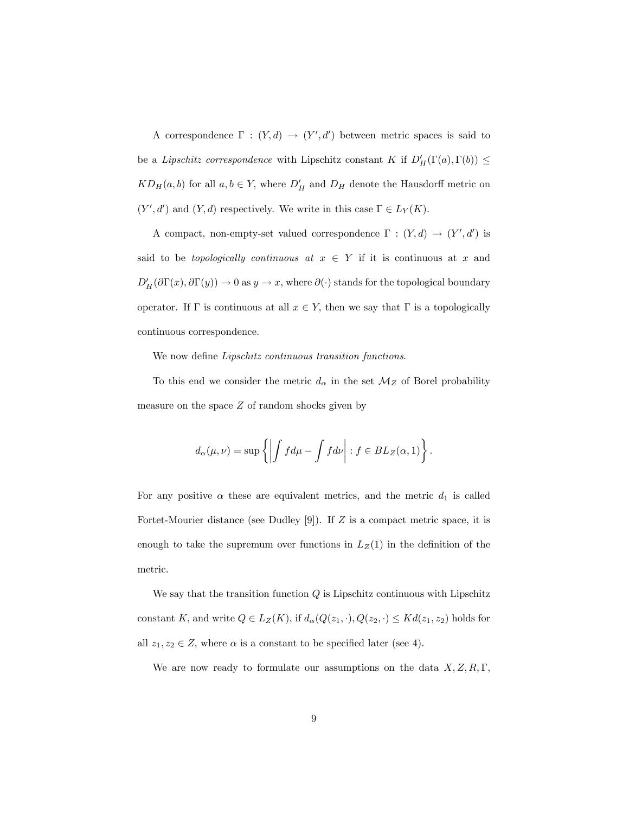A correspondence  $\Gamma : (Y, d) \to (Y', d')$  between metric spaces is said to be a Lipschitz correspondence with Lipschitz constant K if  $D'_H(\Gamma(a), \Gamma(b)) \leq$  $KD_H(a, b)$  for all  $a, b \in Y$ , where  $D'_H$  and  $D_H$  denote the Hausdorff metric on  $(Y', d')$  and  $(Y, d)$  respectively. We write in this case  $\Gamma \in L_Y(K)$ .

A compact, non-empty-set valued correspondence  $\Gamma : (Y, d) \to (Y', d')$  is said to be *topologically continuous at*  $x \in Y$  if it is continuous at x and  $D'_H(\partial \Gamma(x), \partial \Gamma(y)) \to 0$  as  $y \to x$ , where  $\partial(\cdot)$  stands for the topological boundary operator. If  $\Gamma$  is continuous at all  $x \in Y$ , then we say that  $\Gamma$  is a topologically continuous correspondence.

We now define *Lipschitz continuous transition functions*.

To this end we consider the metric  $d_{\alpha}$  in the set  $\mathcal{M}_Z$  of Borel probability measure on the space  $Z$  of random shocks given by

$$
d_{\alpha}(\mu,\nu) = \sup \left\{ \left| \int f d\mu - \int f d\nu \right| : f \in BL_Z(\alpha,1) \right\}.
$$

For any positive  $\alpha$  these are equivalent metrics, and the metric  $d_1$  is called Fortet-Mourier distance (see Dudley [9]). If  $Z$  is a compact metric space, it is enough to take the supremum over functions in  $L_Z(1)$  in the definition of the metric.

We say that the transition function  $Q$  is Lipschitz continuous with Lipschitz constant K, and write  $Q \in L_Z(K)$ , if  $d_{\alpha}(Q(z_1, \cdot), Q(z_2, \cdot) \leq Kd(z_1, z_2)$  holds for all  $z_1, z_2 \in Z$ , where  $\alpha$  is a constant to be specified later (see 4).

We are now ready to formulate our assumptions on the data  $X, Z, R, \Gamma$ ,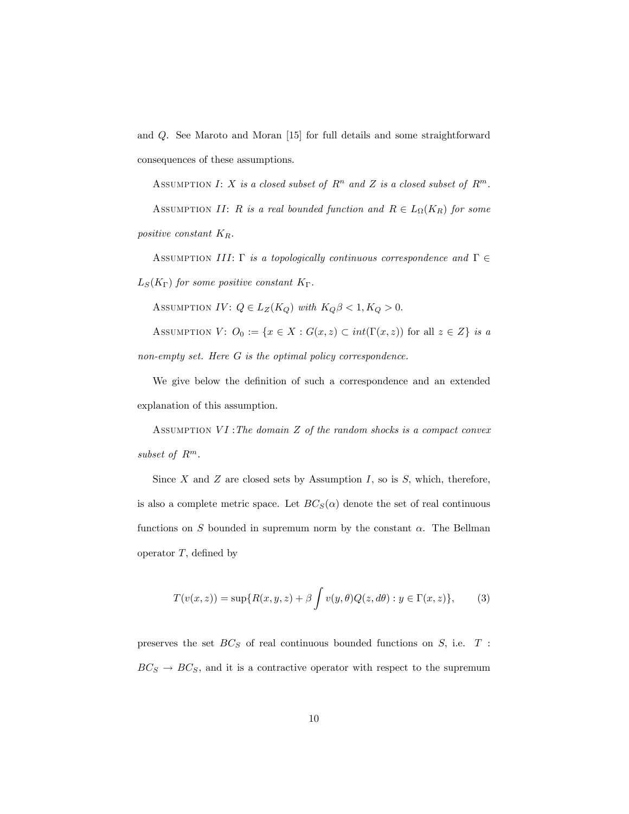and Q. See Maroto and Moran [15] for full details and some straightforward consequences of these assumptions.

ASSUMPTION I: X is a closed subset of  $R^n$  and Z is a closed subset of  $R^m$ . ASSUMPTION II: R is a real bounded function and  $R \in L_{\Omega}(K_R)$  for some positive constant  $K_R$ .

ASSUMPTION III:  $\Gamma$  is a topologically continuous correspondence and  $\Gamma \in$  $L_S(K_{\Gamma})$  for some positive constant  $K_{\Gamma}$ .

ASSUMPTION IV:  $Q \in L_Z(K_Q)$  with  $K_Q \beta < 1, K_Q > 0$ .

ASSUMPTION  $V: O_0 := \{x \in X : G(x, z) \subset int(\Gamma(x, z)) \text{ for all } z \in Z\}$  is a non-empty set. Here G is the optimal policy correspondence.

We give below the definition of such a correspondence and an extended explanation of this assumption.

ASSUMPTION  $VI$ : The domain  $Z$  of the random shocks is a compact convex subset of  $R^m$ .

Since  $X$  and  $Z$  are closed sets by Assumption  $I$ , so is  $S$ , which, therefore, is also a complete metric space. Let  $BC_S(\alpha)$  denote the set of real continuous functions on S bounded in supremum norm by the constant  $\alpha$ . The Bellman operator  $T$ , defined by

$$
T(v(x,z)) = \sup\{R(x,y,z) + \beta \int v(y,\theta)Q(z,d\theta) : y \in \Gamma(x,z)\},\tag{3}
$$

preserves the set  $BC_S$  of real continuous bounded functions on  $S$ , i.e.  $T$ :  $BC_S \rightarrow BC_S$ , and it is a contractive operator with respect to the supremum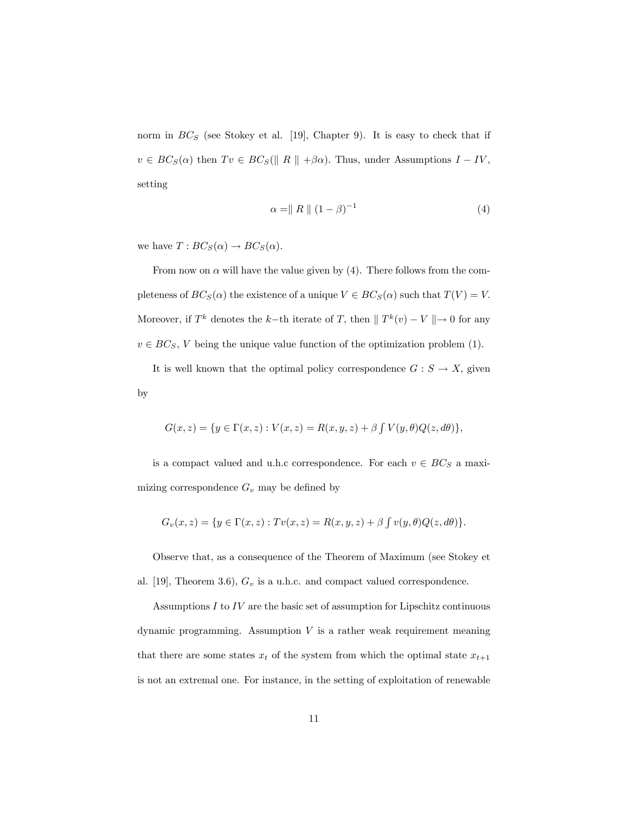norm in  $BC_S$  (see Stokey et al. [19], Chapter 9). It is easy to check that if  $v \in BC_S(\alpha)$  then  $Tv \in BC_S(\parallel R \parallel +\beta\alpha)$ . Thus, under Assumptions  $I - IV$ , setting

$$
\alpha = \|R\| (1 - \beta)^{-1} \tag{4}
$$

we have  $T : BC_S(\alpha) \to BC_S(\alpha)$ .

From now on  $\alpha$  will have the value given by (4). There follows from the completeness of  $BC_S(\alpha)$  the existence of a unique  $V \in BC_S(\alpha)$  such that  $T(V) = V$ . Moreover, if  $T^k$  denotes the k-th iterate of T, then  $\|T^k(v) - V\| \to 0$  for any  $v \in BC_S$ , V being the unique value function of the optimization problem (1).

It is well known that the optimal policy correspondence  $G : S \to X$ , given by

$$
G(x, z) = \{ y \in \Gamma(x, z) : V(x, z) = R(x, y, z) + \beta \int V(y, \theta) Q(z, d\theta) \},
$$

is a compact valued and u.h.c correspondence. For each  $v \in BC_S$  a maximizing correspondence  $G_v$  may be defined by

$$
G_v(x, z) = \{ y \in \Gamma(x, z) : Tv(x, z) = R(x, y, z) + \beta \int v(y, \theta) Q(z, d\theta) \}.
$$

Observe that, as a consequence of the Theorem of Maximum (see Stokey et al. [19], Theorem 3.6),  $G_v$  is a u.h.c. and compact valued correspondence.

Assumptions  $I$  to  $IV$  are the basic set of assumption for Lipschitz continuous dynamic programming. Assumption  $V$  is a rather weak requirement meaning that there are some states  $x_t$  of the system from which the optimal state  $x_{t+1}$ is not an extremal one. For instance, in the setting of exploitation of renewable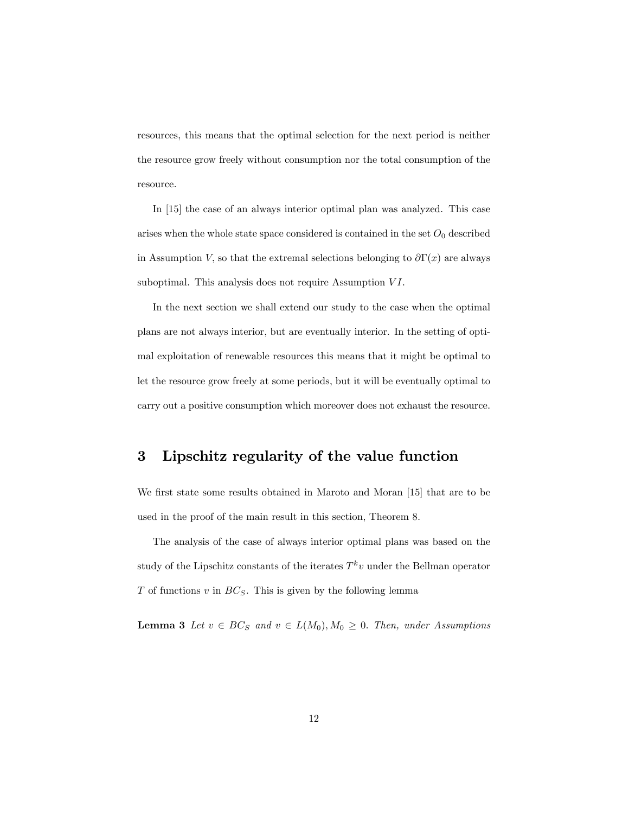resources, this means that the optimal selection for the next period is neither the resource grow freely without consumption nor the total consumption of the resource.

In [15] the case of an always interior optimal plan was analyzed. This case arises when the whole state space considered is contained in the set  $O_0$  described in Assumption V, so that the extremal selections belonging to  $\partial \Gamma(x)$  are always suboptimal. This analysis does not require Assumption  $VI$ .

In the next section we shall extend our study to the case when the optimal plans are not always interior, but are eventually interior. In the setting of optimal exploitation of renewable resources this means that it might be optimal to let the resource grow freely at some periods, but it will be eventually optimal to carry out a positive consumption which moreover does not exhaust the resource.

## 3 Lipschitz regularity of the value function

We first state some results obtained in Maroto and Moran [15] that are to be used in the proof of the main result in this section, Theorem 8.

The analysis of the case of always interior optimal plans was based on the study of the Lipschitz constants of the iterates  $T^k v$  under the Bellman operator  $T$  of functions  $v$  in  $BC_S$ . This is given by the following lemma

**Lemma 3** Let  $v \in BC_S$  and  $v \in L(M_0), M_0 \ge 0$ . Then, under Assumptions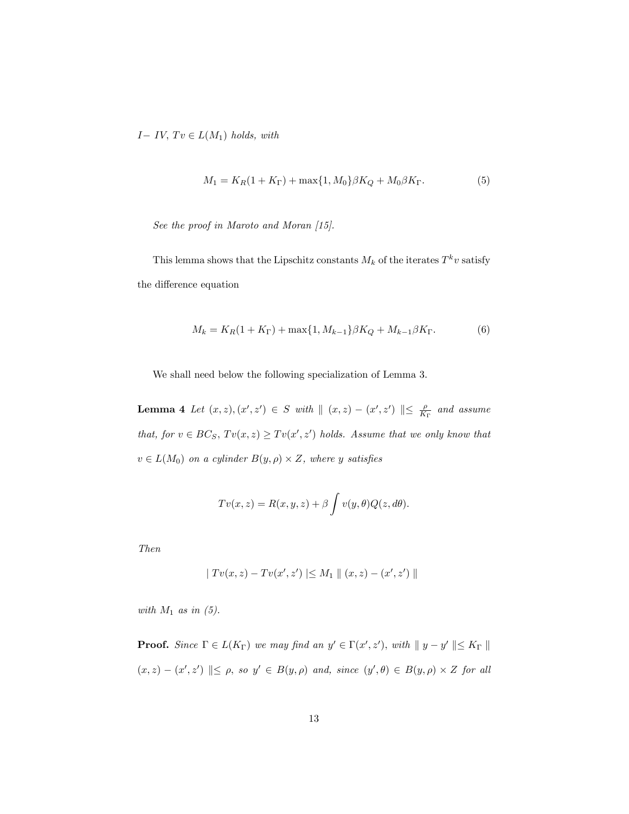$I - IV$ ,  $Tv \in L(M_1)$  holds, with

$$
M_1 = K_R(1 + K_\Gamma) + \max\{1, M_0\}\beta K_Q + M_0\beta K_\Gamma. \tag{5}
$$

See the proof in Maroto and Moran [15].

This lemma shows that the Lipschitz constants  $M_k$  of the iterates  $T^k v$  satisfy the difference equation

$$
M_k = K_R(1 + K_{\Gamma}) + \max\{1, M_{k-1}\}\beta K_Q + M_{k-1}\beta K_{\Gamma}.
$$
 (6)

We shall need below the following specialization of Lemma 3.

**Lemma 4** Let  $(x, z), (x', z') \in S$  with  $|| (x, z) - (x', z') || \leq \frac{\rho}{K_{\Gamma}}$  and assume that, for  $v \in BC_S$ ,  $Tv(x, z) \ge Tv(x', z')$  holds. Assume that we only know that  $v \in L(M_0)$  on a cylinder  $B(y, \rho) \times Z$ , where y satisfies

$$
Tv(x, z) = R(x, y, z) + \beta \int v(y, \theta) Q(z, d\theta).
$$

Then

$$
| Tv(x, z) – Tv(x', z') | \le M_1 || (x, z) – (x', z') ||
$$

with  $M_1$  as in (5).

**Proof.** Since  $\Gamma \in L(K_{\Gamma})$  we may find an  $y' \in \Gamma(x', z')$ , with  $|| y - y' || \le K_{\Gamma} ||$  $(x, z) - (x', z') \parallel \leq \rho$ , so  $y' \in B(y, \rho)$  and, since  $(y', \theta) \in B(y, \rho) \times Z$  for all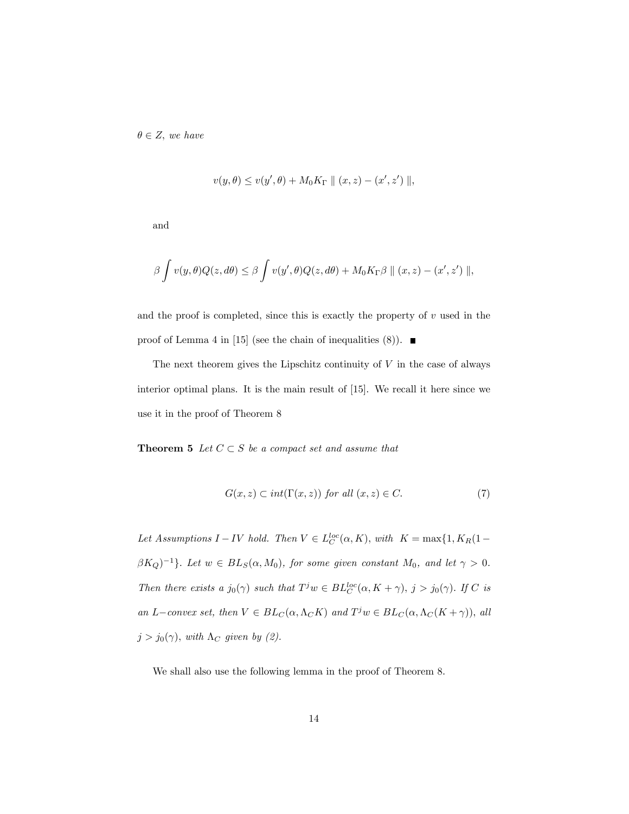$\theta \in Z$ , we have

$$
v(y, \theta) \le v(y', \theta) + M_0 K_{\Gamma} || (x, z) - (x', z') ||,
$$

and

$$
\beta \int v(y,\theta)Q(z,d\theta) \leq \beta \int v(y',\theta)Q(z,d\theta) + M_0K_{\Gamma}\beta || (x,z) - (x',z') ||,
$$

and the proof is completed, since this is exactly the property of  $v$  used in the proof of Lemma 4 in [15] (see the chain of inequalities  $(8)$ ).

The next theorem gives the Lipschitz continuity of  $V$  in the case of always interior optimal plans. It is the main result of [15]. We recall it here since we use it in the proof of Theorem 8

**Theorem 5** Let  $C \subset S$  be a compact set and assume that

$$
G(x, z) \subset int(\Gamma(x, z)) \text{ for all } (x, z) \in C. \tag{7}
$$

Let Assumptions  $I - IV$  hold. Then  $V \in L_C^{loc}(\alpha, K)$ , with  $K = \max\{1, K_R(1 \beta K_Q$ )<sup>-1</sup>}. Let  $w \in BL_S(\alpha, M_0)$ , for some given constant  $M_0$ , and let  $\gamma > 0$ . Then there exists a  $j_0(\gamma)$  such that  $T^j w \in BL_C^{loc}(\alpha, K + \gamma)$ ,  $j > j_0(\gamma)$ . If C is an L-convex set, then  $V \in BL_C(\alpha, \Lambda_C K)$  and  $T^j w \in BL_C(\alpha, \Lambda_C (K + \gamma))$ , all  $j > j_0(\gamma)$ , with  $\Lambda_C$  given by (2).

We shall also use the following lemma in the proof of Theorem 8.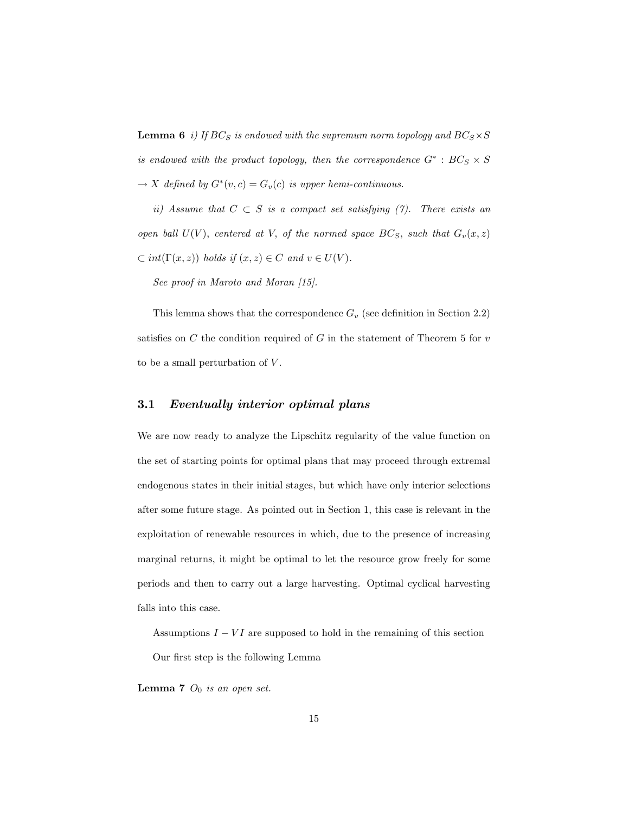**Lemma 6** i) If  $BC_S$  is endowed with the supremum norm topology and  $BC_S \times S$ is endowed with the product topology, then the correspondence  $G^*$  :  $BC_S \times S$  $\rightarrow X$  defined by  $G^*(v, c) = G_v(c)$  is upper hemi-continuous.

ii) Assume that  $C \subset S$  is a compact set satisfying (7). There exists an open ball  $U(V)$ , centered at V, of the normed space  $BC_S$ , such that  $G_v(x, z)$  $\subset int(\Gamma(x, z))$  holds if  $(x, z) \in C$  and  $v \in U(V)$ .

See proof in Maroto and Moran [15].

This lemma shows that the correspondence  $G_v$  (see definition in Section 2.2) satisfies on  $C$  the condition required of  $G$  in the statement of Theorem 5 for  $v$ to be a small perturbation of  $V$ .

## 3.1 Eventually interior optimal plans

We are now ready to analyze the Lipschitz regularity of the value function on the set of starting points for optimal plans that may proceed through extremal endogenous states in their initial stages, but which have only interior selections after some future stage. As pointed out in Section 1, this case is relevant in the exploitation of renewable resources in which, due to the presence of increasing marginal returns, it might be optimal to let the resource grow freely for some periods and then to carry out a large harvesting. Optimal cyclical harvesting falls into this case.

Assumptions  $I - VI$  are supposed to hold in the remaining of this section Our first step is the following Lemma

**Lemma 7**  $O_0$  is an open set.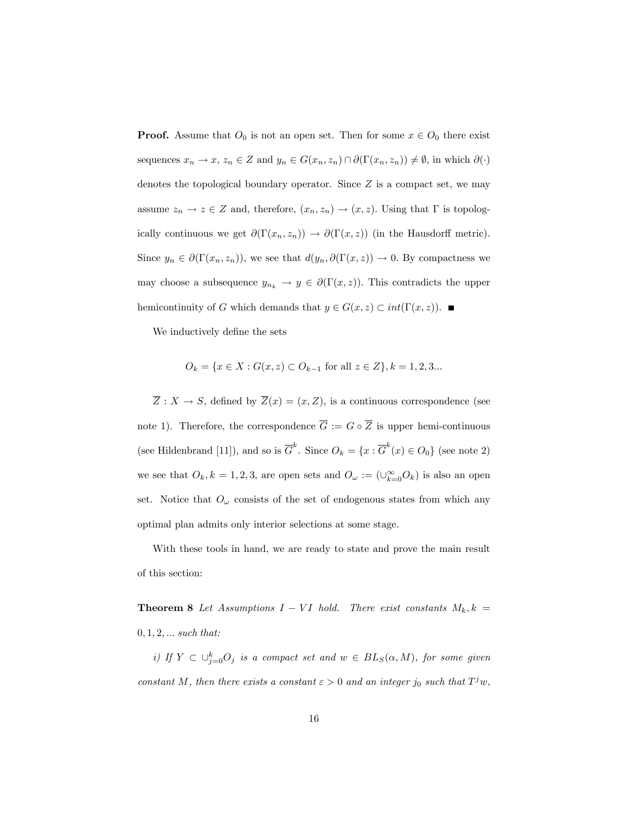**Proof.** Assume that  $O_0$  is not an open set. Then for some  $x \in O_0$  there exist sequences  $x_n \to x$ ,  $z_n \in Z$  and  $y_n \in G(x_n, z_n) \cap \partial(\Gamma(x_n, z_n)) \neq \emptyset$ , in which  $\partial(\cdot)$ denotes the topological boundary operator. Since  $Z$  is a compact set, we may assume  $z_n \to z \in Z$  and, therefore,  $(x_n, z_n) \to (x, z)$ . Using that  $\Gamma$  is topologically continuous we get  $\partial(\Gamma(x_n, z_n)) \to \partial(\Gamma(x, z))$  (in the Hausdorff metric). Since  $y_n \in \partial(\Gamma(x_n, z_n))$ , we see that  $d(y_n, \partial(\Gamma(x, z))) \to 0$ . By compactness we may choose a subsequence  $y_{n_k} \to y \in \partial(\Gamma(x, z))$ . This contradicts the upper hemicontinuity of G which demands that  $y \in G(x, z) \subset int(\Gamma(x, z))$ .

We inductively define the sets

$$
O_k = \{ x \in X : G(x, z) \subset O_{k-1} \text{ for all } z \in Z \}, k = 1, 2, 3...
$$

 $\overline{Z}: X \to S$ , defined by  $\overline{Z}(x) = (x, Z)$ , is a continuous correspondence (see note 1). Therefore, the correspondence  $\overline{G} := G \circ \overline{Z}$  is upper hemi-continuous (see Hildenbrand [11]), and so is  $\overline{G}^k$ . Since  $O_k = \{x : \overline{G}^k(x) \in O_0\}$  (see note 2) we see that  $O_k, k = 1, 2, 3$ , are open sets and  $O_\omega := (\cup_{k=0}^{\infty} O_k)$  is also an open set. Notice that  $O_\omega$  consists of the set of endogenous states from which any optimal plan admits only interior selections at some stage.

With these tools in hand, we are ready to state and prove the main result of this section:

**Theorem 8** Let Assumptions  $I - VI$  hold. There exist constants  $M_k, k =$  $0, 1, 2, ...$  such that:

i) If  $Y \subset \bigcup_{j=0}^k O_j$  is a compact set and  $w \in BL_S(\alpha, M)$ , for some given constant M, then there exists a constant  $\varepsilon > 0$  and an integer  $j_0$  such that  $T^j w$ ,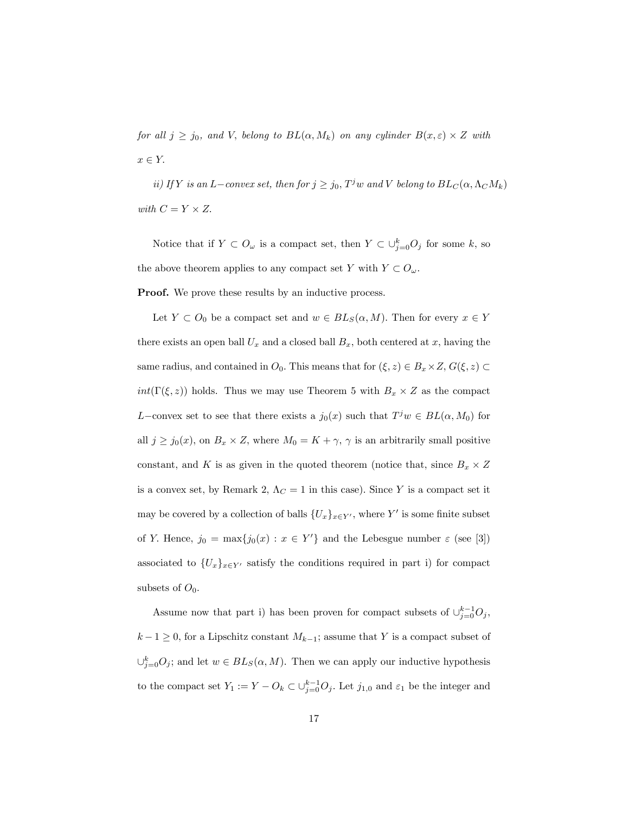for all  $j \ge j_0$ , and V, belong to  $BL(\alpha, M_k)$  on any cylinder  $B(x, \varepsilon) \times Z$  with  $x \in Y$ .

ii) If Y is an L-convex set, then for  $j \ge j_0$ ,  $T^j w$  and V belong to  $BL_C(\alpha, \Lambda_C M_k)$ with  $C = Y \times Z$ .

Notice that if  $Y \subset O_\omega$  is a compact set, then  $Y \subset \bigcup_{j=0}^k O_j$  for some k, so the above theorem applies to any compact set Y with  $Y \subset O_{\omega}$ .

**Proof.** We prove these results by an inductive process.

Let  $Y \subset O_0$  be a compact set and  $w \in BL_S(\alpha, M)$ . Then for every  $x \in Y$ there exists an open ball  $U_x$  and a closed ball  $B_x$ , both centered at x, having the same radius, and contained in  $O_0$ . This means that for  $(\xi, z) \in B_x \times Z$ ,  $G(\xi, z) \subset$  $int(\Gamma(\xi, z))$  holds. Thus we may use Theorem 5 with  $B_x \times Z$  as the compact L-convex set to see that there exists a  $j_0(x)$  such that  $T^j w \in BL(\alpha, M_0)$  for all  $j \ge j_0(x)$ , on  $B_x \times Z$ , where  $M_0 = K + \gamma$ ,  $\gamma$  is an arbitrarily small positive constant, and K is as given in the quoted theorem (notice that, since  $B_x \times Z$ is a convex set, by Remark 2,  $\Lambda_C=1$  in this case). Since  $Y$  is a compact set it may be covered by a collection of balls  $\{U_x\}_{x \in Y'}$ , where Y' is some finite subset of Y. Hence,  $j_0 = \max\{j_0(x) : x \in Y'\}$  and the Lebesgue number  $\varepsilon$  (see [3]) associated to  $\{U_x\}_{x\in Y'}$  satisfy the conditions required in part i) for compact subsets of  $O_0$ .

Assume now that part i) has been proven for compact subsets of  $\cup_{j=0}^{k-1} O_j$ ,  $k - 1 \geq 0$ , for a Lipschitz constant  $M_{k-1}$ ; assume that Y is a compact subset of  $\cup_{j=0}^{k} O_j$ ; and let  $w \in BL_S(\alpha, M)$ . Then we can apply our inductive hypothesis to the compact set  $Y_1 := Y - Q_k \subset \bigcup_{j=0}^{k-1} Q_j$ . Let  $j_{1,0}$  and  $\varepsilon_1$  be the integer and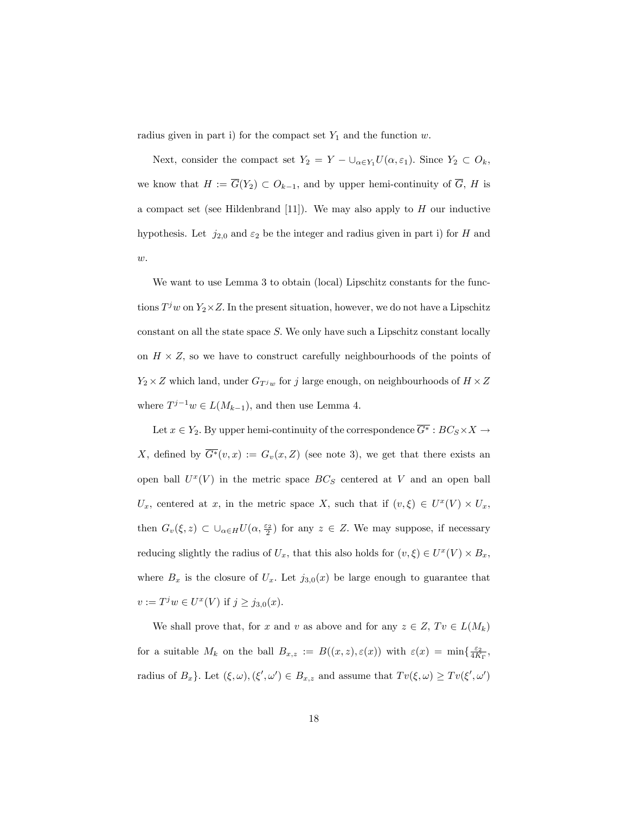radius given in part i) for the compact set  $Y_1$  and the function w.

Next, consider the compact set  $Y_2 = Y - \bigcup_{\alpha \in Y_1} U(\alpha, \varepsilon_1)$ . Since  $Y_2 \subset O_k$ , we know that  $H := \overline{G}(Y_2) \subset O_{k-1}$ , and by upper hemi-continuity of  $\overline{G}$ , H is a compact set (see Hildenbrand [11]). We may also apply to  $H$  our inductive hypothesis. Let  $j_{2,0}$  and  $\varepsilon_2$  be the integer and radius given in part i) for H and  $w$ .

We want to use Lemma 3 to obtain (local) Lipschitz constants for the functions  $T^j w$  on  $Y_2 \times Z$ . In the present situation, however, we do not have a Lipschitz constant on all the state space  $S$ . We only have such a Lipschitz constant locally on  $H \times Z$ , so we have to construct carefully neighbourhoods of the points of  $Y_2 \times Z$  which land, under  $G_{T^jw}$  for j large enough, on neighbourhoods of  $H \times Z$ where  $T^{j-1}w \in L(M_{k-1})$ , and then use Lemma 4.

Let  $x \in Y_2$ . By upper hemi-continuity of the correspondence  $G^* : BC_S \times X \to$ X, defined by  $\overline{G^*}(v, x) := G_v(x, Z)$  (see note 3), we get that there exists an open ball  $U^x(V)$  in the metric space  $BC_S$  centered at V and an open ball  $U_x$ , centered at x, in the metric space X, such that if  $(v, \xi) \in U^x(V) \times U_x$ , then  $G_v(\xi, z) \subset \bigcup_{\alpha \in H} U(\alpha, \frac{\varepsilon_2}{2})$  for any  $z \in Z$ . We may suppose, if necessary reducing slightly the radius of  $U_x$ , that this also holds for  $(v, \xi) \in U^x(V) \times B_x$ , where  $B_x$  is the closure of  $U_x$ . Let  $j_{3,0}(x)$  be large enough to guarantee that  $v := T^j w \in U^x(V)$  if  $j \ge j_{3,0}(x)$ .

We shall prove that, for x and v as above and for any  $z \in Z$ ,  $Tv \in L(M_k)$ for a suitable  $M_k$  on the ball  $B_{x,z} := B((x,z), \varepsilon(x))$  with  $\varepsilon(x) = \min\{\frac{\varepsilon_2}{4K_\Gamma},$ radius of  $B_x$ }. Let  $(\xi, \omega), (\xi', \omega') \in B_{x,z}$  and assume that  $Tv(\xi, \omega) \ge Tv(\xi', \omega')$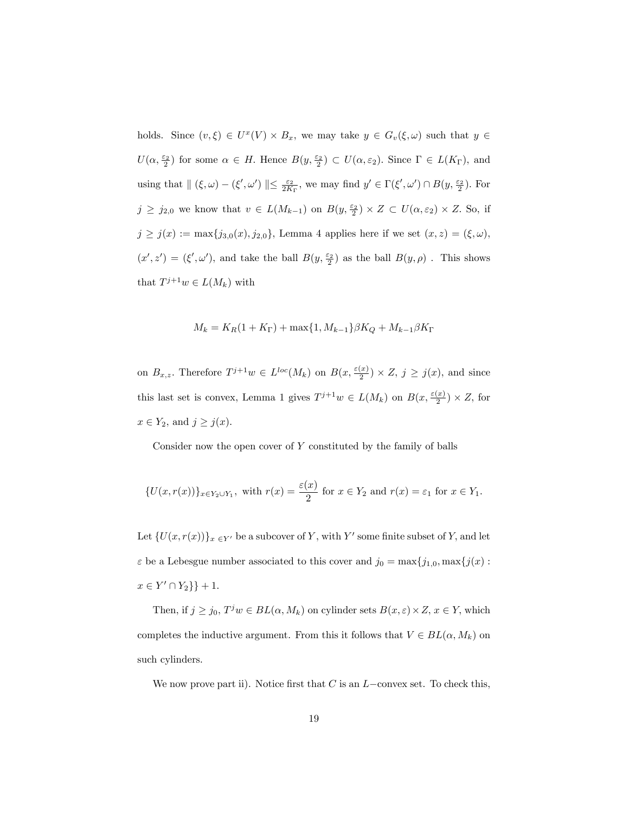holds. Since  $(v, \xi) \in U^x(V) \times B_x$ , we may take  $y \in G_v(\xi, \omega)$  such that  $y \in$  $U(\alpha, \frac{\varepsilon_2}{2})$  for some  $\alpha \in H$ . Hence  $B(y, \frac{\varepsilon_2}{2}) \subset U(\alpha, \varepsilon_2)$ . Since  $\Gamma \in L(K_{\Gamma})$ , and using that  $\| (\xi, \omega) - (\xi', \omega') \| \le \frac{\varepsilon_2}{2K_{\Gamma}}$ , we may find  $y' \in \Gamma(\xi', \omega') \cap B(y, \frac{\varepsilon_2}{2})$ . For  $j \geq j_{2,0}$  we know that  $v \in L(M_{k-1})$  on  $B(y, \frac{\varepsilon_2}{2}) \times Z \subset U(\alpha, \varepsilon_2) \times Z$ . So, if  $j \geq j(x) := \max\{j_{3,0}(x), j_{2,0}\}\,$  Lemma 4 applies here if we set  $(x, z) = (\xi, \omega),$  $(x', z') = (\xi', \omega')$ , and take the ball  $B(y, \frac{\varepsilon_2}{2})$  as the ball  $B(y, \rho)$ . This shows that  $T^{j+1}w \in L(M_k)$  with

$$
M_k = K_R(1 + K_{\Gamma}) + \max\{1, M_{k-1}\}\beta K_Q + M_{k-1}\beta K_{\Gamma}
$$

on  $B_{x,z}$ . Therefore  $T^{j+1}w \in L^{loc}(M_k)$  on  $B(x, \frac{\varepsilon(x)}{2})$  $\frac{x}{2}$   $\times$  Z,  $j \geq j(x)$ , and since this last set is convex, Lemma 1 gives  $T^{j+1}w \in L(M_k)$  on  $B(x, \frac{\varepsilon(x)}{2})$  $\frac{x_1}{2}) \times Z$ , for  $x \in Y_2$ , and  $j \geq j(x)$ .

Consider now the open cover of  $Y$  constituted by the family of balls

$$
\{U(x,r(x))\}_{x\in Y_2\cup Y_1},\text{ with }r(x)=\frac{\varepsilon(x)}{2}\text{ for }x\in Y_2\text{ and }r(x)=\varepsilon_1\text{ for }x\in Y_1.
$$

Let  $\{U(x, r(x))\}_{x \in Y'}$  be a subcover of Y, with Y' some finite subset of Y, and let  $\varepsilon$  be a Lebesgue number associated to this cover and  $j_0 = \max\{j_{1,0}, \max\{j(x)$  :  $x \in Y' \cap Y_2$  } + 1.

Then, if  $j \ge j_0$ ,  $T^j w \in BL(\alpha, M_k)$  on cylinder sets  $B(x, \varepsilon) \times Z$ ,  $x \in Y$ , which completes the inductive argument. From this it follows that  $V \in BL(\alpha, M_k)$  on such cylinders.

We now prove part ii). Notice first that C is an  $L$ -convex set. To check this,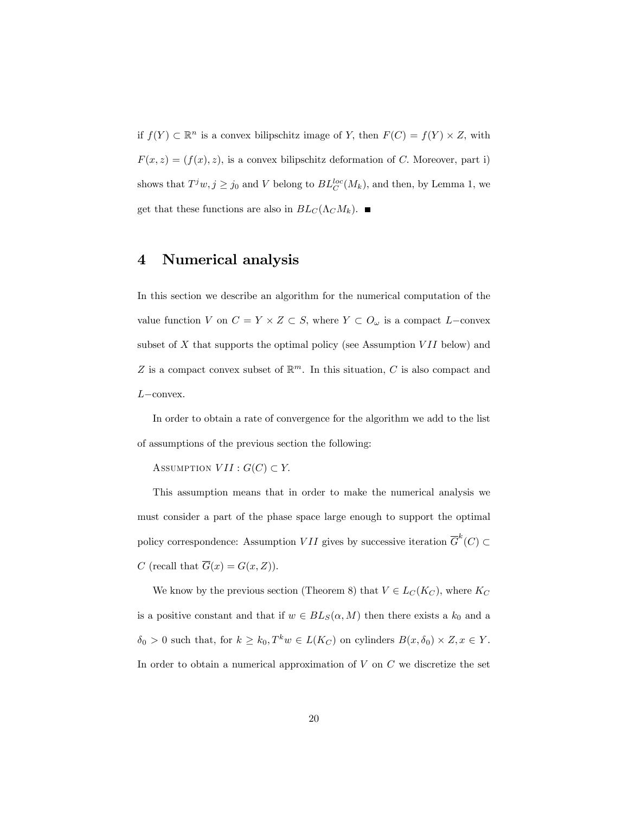if  $f(Y) \subset \mathbb{R}^n$  is a convex bilipschitz image of Y, then  $F(C) = f(Y) \times Z$ , with  $F(x, z) = (f(x), z)$ , is a convex bilipschitz deformation of C. Moreover, part i) shows that  $T^j w, j \geq j_0$  and V belong to  $BL_C^{loc}(M_k)$ , and then, by Lemma 1, we get that these functions are also in  $BL_C(\Lambda_C M_k)$ .

## 4 Numerical analysis

In this section we describe an algorithm for the numerical computation of the value function V on  $C = Y \times Z \subset S$ , where  $Y \subset O_{\omega}$  is a compact L-convex subset of  $X$  that supports the optimal policy (see Assumption  $VII$  below) and Z is a compact convex subset of  $\mathbb{R}^m$ . In this situation, C is also compact and  $L$ -convex.

In order to obtain a rate of convergence for the algorithm we add to the list of assumptions of the previous section the following:

ASSUMPTION  $VII : G(C) \subset Y$ .

This assumption means that in order to make the numerical analysis we must consider a part of the phase space large enough to support the optimal policy correspondence: Assumption  $VII$  gives by successive iteration  $\overline{G}^k(C) \subset$ C (recall that  $\overline{G}(x) = G(x, Z)$ ).

We know by the previous section (Theorem 8) that  $V \in L_C(K_C)$ , where  $K_C$ is a positive constant and that if  $w \in BL_S(\alpha, M)$  then there exists a  $k_0$  and a  $\delta_0 > 0$  such that, for  $k \geq k_0, T^k w \in L(K_C)$  on cylinders  $B(x, \delta_0) \times Z, x \in Y$ . In order to obtain a numerical approximation of  $V$  on  $C$  we discretize the set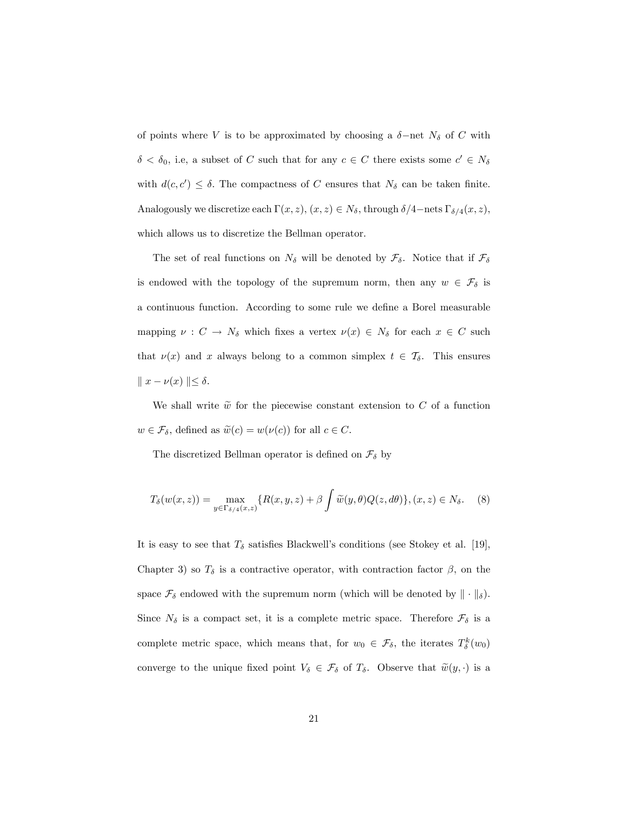of points where V is to be approximated by choosing a  $\delta$ -net  $N_{\delta}$  of C with  $\delta < \delta_0$ , i.e, a subset of C such that for any  $c \in C$  there exists some  $c' \in N_{\delta}$ with  $d(c, c') \leq \delta$ . The compactness of C ensures that  $N_{\delta}$  can be taken finite. Analogously we discretize each  $\Gamma(x, z)$ ,  $(x, z) \in N_{\delta}$ , through  $\delta/4$ -nets  $\Gamma_{\delta/4}(x, z)$ , which allows us to discretize the Bellman operator.

The set of real functions on  $N_{\delta}$  will be denoted by  $\mathcal{F}_{\delta}$ . Notice that if  $\mathcal{F}_{\delta}$ is endowed with the topology of the supremum norm, then any  $w \in \mathcal{F}_{\delta}$  is a continuous function. According to some rule we define a Borel measurable mapping  $\nu : C \to N_\delta$  which fixes a vertex  $\nu(x) \in N_\delta$  for each  $x \in C$  such that  $\nu(x)$  and x always belong to a common simplex  $t \in \mathcal{T}_{\delta}$ . This ensures  $\|x - \nu(x)\| \le \delta.$ 

We shall write  $\tilde{w}$  for the piecewise constant extension to C of a function  $w \in \mathcal{F}_{\delta}$ , defined as  $\widetilde{w}(c) = w(\nu(c))$  for all  $c \in C$ .

The discretized Bellman operator is defined on  $\mathcal{F}_{\delta}$  by

$$
T_{\delta}(w(x,z)) = \max_{y \in \Gamma_{\delta/4}(x,z)} \{ R(x,y,z) + \beta \int \widetilde{w}(y,\theta) Q(z,d\theta) \}, (x,z) \in N_{\delta}.
$$
 (8)

It is easy to see that  $T_{\delta}$  satisfies Blackwell's conditions (see Stokey et al. [19], Chapter 3) so  $T_{\delta}$  is a contractive operator, with contraction factor  $\beta$ , on the space  $\mathcal{F}_{\delta}$  endowed with the supremum norm (which will be denoted by  $\|\cdot\|_{\delta}$ ). Since  $N_{\delta}$  is a compact set, it is a complete metric space. Therefore  $\mathcal{F}_{\delta}$  is a complete metric space, which means that, for  $w_0 \in \mathcal{F}_{\delta}$ , the iterates  $T_{\delta}^k(w_0)$ converge to the unique fixed point  $V_{\delta} \in \mathcal{F}_{\delta}$  of  $T_{\delta}$ . Observe that  $\widetilde{w}(y, \cdot)$  is a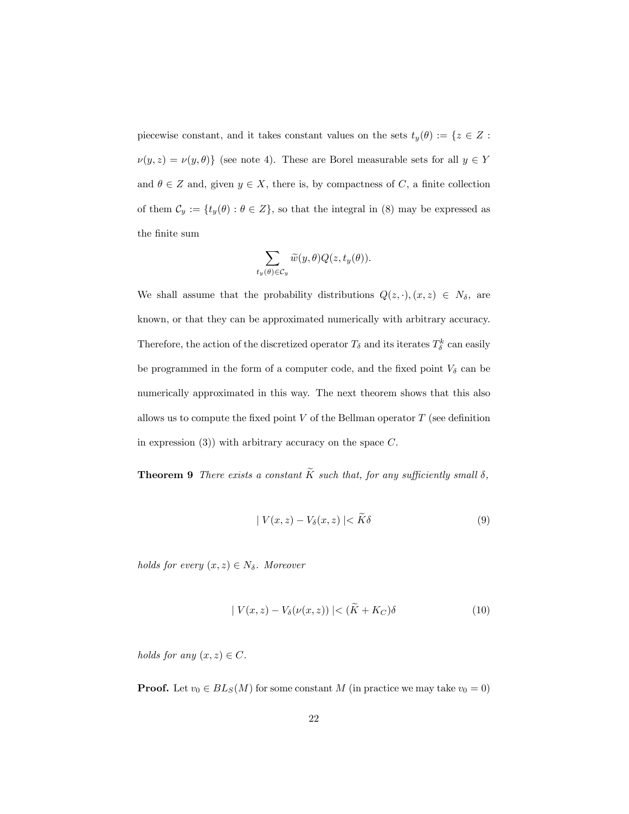piecewise constant, and it takes constant values on the sets  $t_y(\theta) := \{z \in Z:$  $\nu(y,z) = \nu(y,\theta)\}$  (see note 4). These are Borel measurable sets for all  $y \in Y$ and  $\theta \in \mathbb{Z}$  and, given  $y \in \mathbb{X}$ , there is, by compactness of C, a finite collection of them  $\mathcal{C}_y := \{ t_y(\theta) : \theta \in Z \}$ , so that the integral in (8) may be expressed as the finite sum

$$
\sum_{t_y(\theta)\in\mathcal{C}_y}\widetilde{w}(y,\theta)Q(z,t_y(\theta)).
$$

We shall assume that the probability distributions  $Q(z, \cdot), (x, z) \in N_{\delta}$ , are known, or that they can be approximated numerically with arbitrary accuracy. Therefore, the action of the discretized operator  $T_{\delta}$  and its iterates  $T_{\delta}^{k}$  can easily be programmed in the form of a computer code, and the fixed point  $V_{\delta}$  can be numerically approximated in this way. The next theorem shows that this also allows us to compute the fixed point  $V$  of the Bellman operator  $T$  (see definition in expression  $(3)$ ) with arbitrary accuracy on the space C.

**Theorem 9** There exists a constant  $\widetilde{K}$  such that, for any sufficiently small  $\delta$ ,

$$
|V(x,z) - V_{\delta}(x,z)| < K\delta \tag{9}
$$

holds for every  $(x, z) \in N_{\delta}$ . Moreover

$$
|V(x,z) - V_{\delta}(\nu(x,z))| < (\tilde{K} + K_C)\delta \tag{10}
$$

holds for any  $(x, z) \in C$ .

**Proof.** Let  $v_0 \in BL_S(M)$  for some constant M (in practice we may take  $v_0 = 0$ )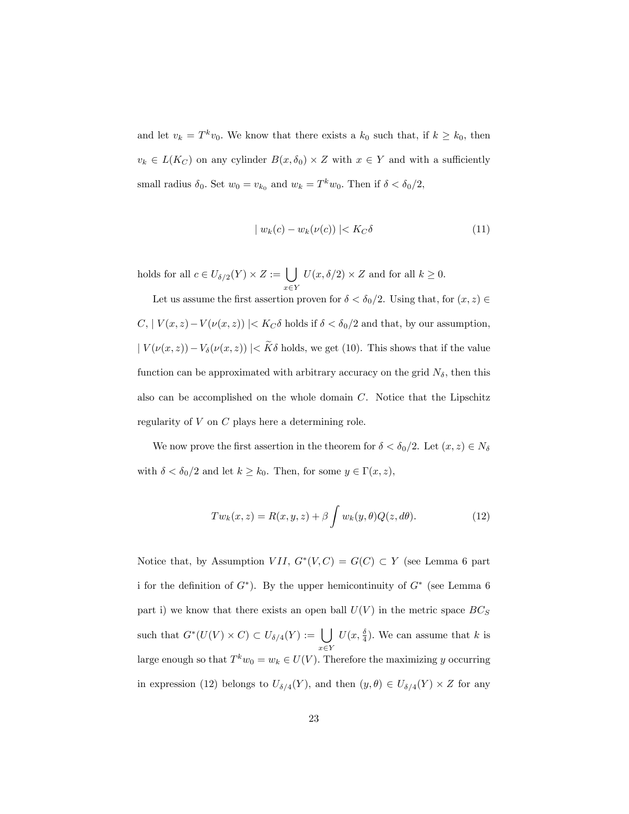and let  $v_k = T^k v_0$ . We know that there exists a  $k_0$  such that, if  $k \geq k_0$ , then  $v_k \in L(K_C)$  on any cylinder  $B(x, \delta_0) \times Z$  with  $x \in Y$  and with a sufficiently small radius  $\delta_0$ . Set  $w_0 = v_{k_0}$  and  $w_k = T^k w_0$ . Then if  $\delta < \delta_0/2$ ,

$$
| w_k(c) - w_k(\nu(c)) | < K_C \delta \tag{11}
$$

holds for all  $c \in U_{\delta/2}(Y) \times Z := \bigcup$  $x \in Y$  $U(x, \delta/2) \times Z$  and for all  $k \geq 0$ .

Let us assume the first assertion proven for  $\delta < \delta_0/2$ . Using that, for  $(x, z) \in$  $C, |V(x, z)-V(\nu(x, z))| < K_C \delta$  holds if  $\delta < \delta_0/2$  and that, by our assumption,  $|V(\nu(x, z)) - V_{\delta}(\nu(x, z))| < \widetilde{K}\delta$  holds, we get (10). This shows that if the value function can be approximated with arbitrary accuracy on the grid  $N_{\delta}$ , then this also can be accomplished on the whole domain  $C$ . Notice that the Lipschitz regularity of V on C plays here a determining role.

We now prove the first assertion in the theorem for  $\delta < \delta_0/2$ . Let  $(x, z) \in N_\delta$ with  $\delta < \delta_0/2$  and let  $k \geq k_0$ . Then, for some  $y \in \Gamma(x, z)$ ,

$$
Tw_k(x, z) = R(x, y, z) + \beta \int w_k(y, \theta) Q(z, d\theta).
$$
 (12)

Notice that, by Assumption *VII*,  $G^*(V, C) = G(C) \subset Y$  (see Lemma 6 part i for the definition of  $G^*$ ). By the upper hemicontinuity of  $G^*$  (see Lemma 6 part i) we know that there exists an open ball  $U(V)$  in the metric space  $BC_S$ such that  $G^*(U(V) \times C) \subset U_{\delta/4}(Y) := \bigcup$  $x \in Y$  $U(x, \frac{\delta}{4})$ . We can assume that k is large enough so that  $T^k w_0 = w_k \in U(V)$ . Therefore the maximizing y occurring in expression (12) belongs to  $U_{\delta/4}(Y)$ , and then  $(y, \theta) \in U_{\delta/4}(Y) \times Z$  for any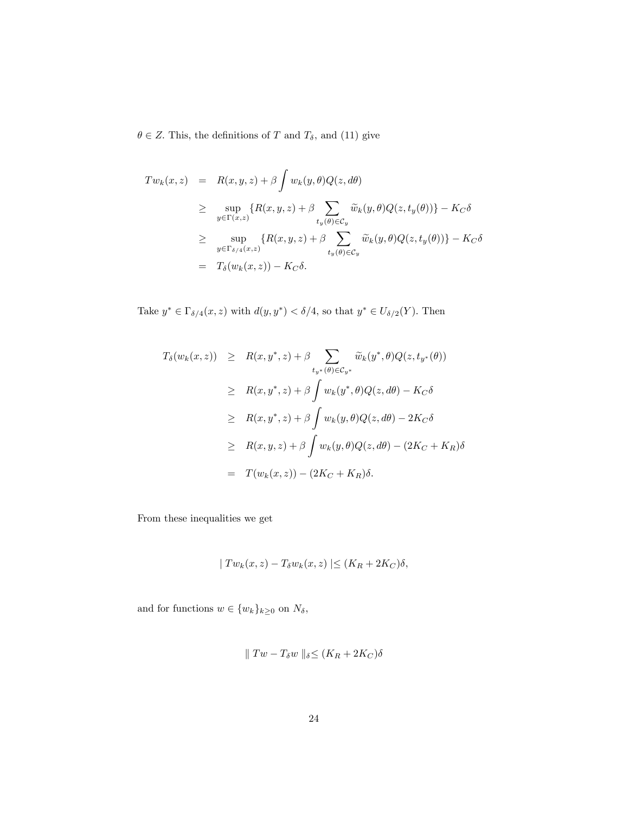$\theta \in Z.$  This, the definitions of  $T$  and  $T_\delta,$  and (11) give

$$
Tw_k(x, z) = R(x, y, z) + \beta \int w_k(y, \theta) Q(z, d\theta)
$$
  
\n
$$
\geq \sup_{y \in \Gamma(x, z)} \{R(x, y, z) + \beta \sum_{t_y(\theta) \in C_y} \widetilde{w}_k(y, \theta) Q(z, t_y(\theta))\} - K_C \delta
$$
  
\n
$$
\geq \sup_{y \in \Gamma_{\delta/4}(x, z)} \{R(x, y, z) + \beta \sum_{t_y(\theta) \in C_y} \widetilde{w}_k(y, \theta) Q(z, t_y(\theta))\} - K_C \delta
$$
  
\n
$$
= T_{\delta}(w_k(x, z)) - K_C \delta.
$$

Take  $y^* \in \Gamma_{\delta/4}(x, z)$  with  $d(y, y^*) < \delta/4$ , so that  $y^* \in U_{\delta/2}(Y)$ . Then

$$
T_{\delta}(w_{k}(x, z)) \geq R(x, y^{*}, z) + \beta \sum_{t_{y^{*}}(\theta) \in C_{y^{*}}} \widetilde{w}_{k}(y^{*}, \theta) Q(z, t_{y^{*}}(\theta))
$$
  
\n
$$
\geq R(x, y^{*}, z) + \beta \int w_{k}(y^{*}, \theta) Q(z, d\theta) - K_{C} \delta
$$
  
\n
$$
\geq R(x, y^{*}, z) + \beta \int w_{k}(y, \theta) Q(z, d\theta) - 2K_{C} \delta
$$
  
\n
$$
\geq R(x, y, z) + \beta \int w_{k}(y, \theta) Q(z, d\theta) - (2K_{C} + K_{R}) \delta
$$
  
\n
$$
= T(w_{k}(x, z)) - (2K_{C} + K_{R}) \delta.
$$

From these inequalities we get

$$
| Tw_k(x,z) - T_{\delta}w_k(x,z)| \le (K_R + 2K_C)\delta,
$$

and for functions  $w \in \{w_k\}_{k\geq0}$  on  $N_\delta,$ 

$$
\parallel Tw-T_{\delta}w\parallel_{\delta} \leq (K_R+2K_C)\delta
$$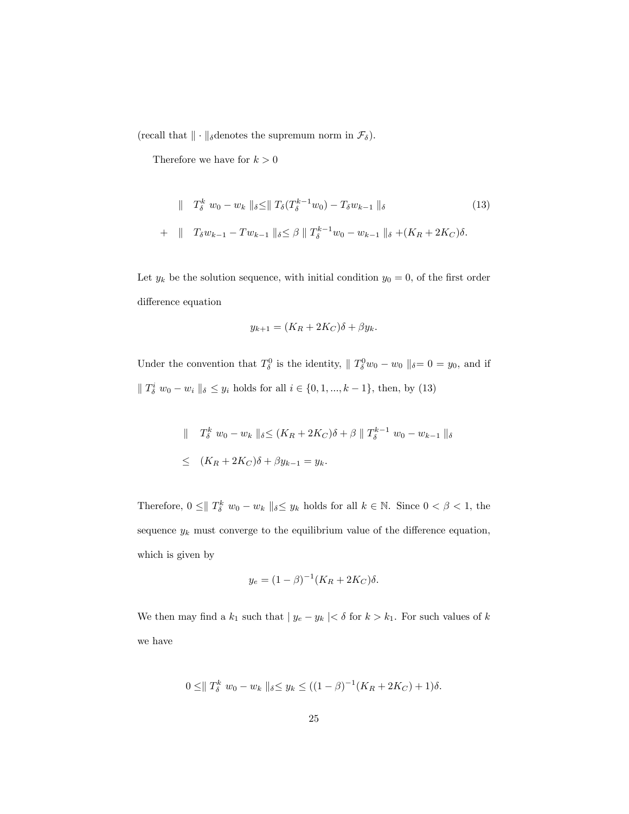(recall that  $\|\cdot\|_{\delta}$  denotes the supremum norm in  $\mathcal{F}_{\delta}).$ 

Therefore we have for  $k>0$ 

$$
\| T_{\delta}^{k} w_{0} - w_{k} \|_{\delta} \le \| T_{\delta} (T_{\delta}^{k-1} w_{0}) - T_{\delta} w_{k-1} \|_{\delta}
$$
\n
$$
+ \| T_{\delta} w_{k-1} - T w_{k-1} \|_{\delta} \le \beta \| T_{\delta}^{k-1} w_{0} - w_{k-1} \|_{\delta} + (K_{R} + 2K_{C})\delta.
$$
\n
$$
(13)
$$

Let  $y_k$  be the solution sequence, with initial condition  $y_0 = 0$ , of the first order difference equation

$$
y_{k+1} = (K_R + 2K_C)\delta + \beta y_k.
$$

Under the convention that  $T_{\delta}^0$  is the identity,  $\|T_{\delta}^0 w_0 - w_0\|_{\delta} = 0 = y_0$ , and if  $\|T_{\delta}^{i} w_{0} - w_{i} \|_{\delta} \leq y_{i}$  holds for all  $i \in \{0, 1, ..., k - 1\}$ , then, by (13)

$$
\| T_{\delta}^{k} w_{0} - w_{k} \|_{\delta} \le (K_{R} + 2K_{C})\delta + \beta \| T_{\delta}^{k-1} w_{0} - w_{k-1} \|_{\delta}
$$
  

$$
\le (K_{R} + 2K_{C})\delta + \beta y_{k-1} = y_{k}.
$$

Therefore,  $0 \leq ||T_{\delta}^k w_0 - w_k||_{\delta} \leq y_k$  holds for all  $k \in \mathbb{N}$ . Since  $0 < \beta < 1$ , the sequence  $y_k$  must converge to the equilibrium value of the difference equation, which is given by

$$
y_e = (1 - \beta)^{-1} (K_R + 2K_C)\delta.
$$

We then may find a  $k_1$  such that  $\mid y_e - y_k \mid < \delta$  for  $k > k_1.$  For such values of  $k$ we have

$$
0 \leq ||T_{\delta}^{k} w_{0} - w_{k}||_{\delta} \leq y_{k} \leq ((1 - \beta)^{-1}(K_{R} + 2K_{C}) + 1)\delta.
$$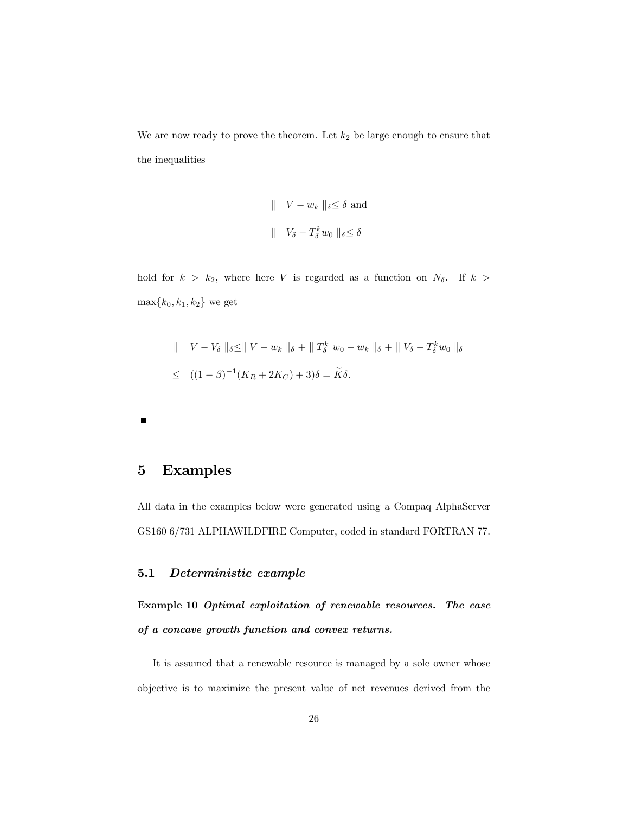We are now ready to prove the theorem. Let  $k_2$  be large enough to ensure that the inequalities

$$
\begin{aligned}\n\parallel & V - w_k \parallel_{\delta} \leq \delta \text{ and} \\
\parallel & V_{\delta} - T_{\delta}^k w_0 \parallel_{\delta} \leq \delta\n\end{aligned}
$$

hold for  $k > k_2$ , where here V is regarded as a function on  $N_\delta$ . If  $k >$  $\max\{k_0,k_1,k_2\}$  we get

$$
\| V - V_{\delta} \|_{\delta} \le \| V - w_{k} \|_{\delta} + \| T_{\delta}^{k} w_{0} - w_{k} \|_{\delta} + \| V_{\delta} - T_{\delta}^{k} w_{0} \|_{\delta}
$$
  

$$
\le ((1 - \beta)^{-1} (K_{R} + 2K_{C}) + 3)\delta = \widetilde{K}\delta.
$$

 $\blacksquare$ 

## 5 Examples

All data in the examples below were generated using a Compaq AlphaServer GS160 6/731 ALPHAWILDFIRE Computer, coded in standard FORTRAN 77.

#### 5.1 Deterministic example

Example 10 Optimal exploitation of renewable resources. The case of a concave growth function and convex returns.

It is assumed that a renewable resource is managed by a sole owner whose objective is to maximize the present value of net revenues derived from the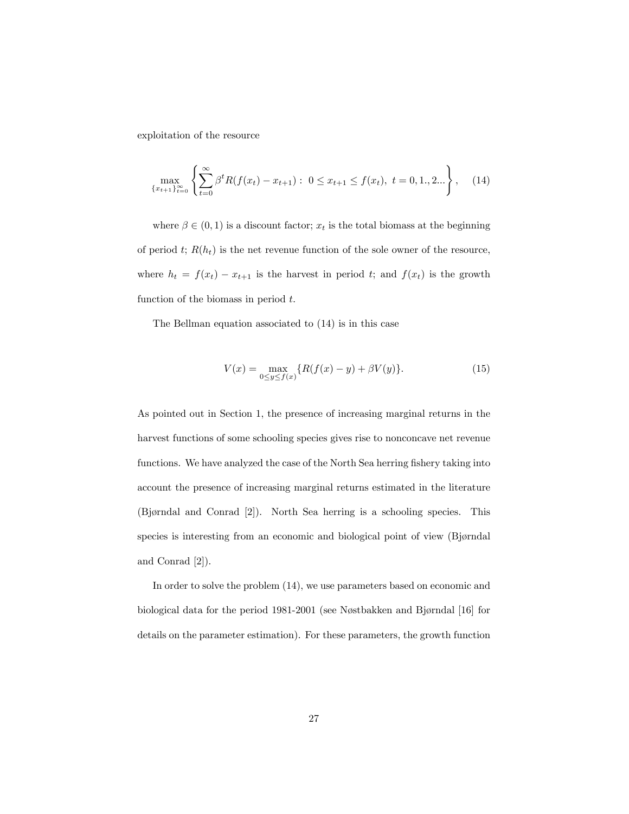exploitation of the resource

$$
\max_{\{x_{t+1}\}_{t=0}^{\infty}} \left\{ \sum_{t=0}^{\infty} \beta^t R(f(x_t) - x_{t+1}) : 0 \le x_{t+1} \le f(x_t), \ t = 0, 1, 2... \right\}, \tag{14}
$$

where  $\beta \in (0,1)$  is a discount factor;  $x_t$  is the total biomass at the beginning of period t;  $R(h_t)$  is the net revenue function of the sole owner of the resource, where  $h_t = f(x_t) - x_{t+1}$  is the harvest in period t; and  $f(x_t)$  is the growth function of the biomass in period  $t$ .

The Bellman equation associated to (14) is in this case

$$
V(x) = \max_{0 \le y \le f(x)} \{ R(f(x) - y) + \beta V(y) \}.
$$
 (15)

As pointed out in Section 1, the presence of increasing marginal returns in the harvest functions of some schooling species gives rise to nonconcave net revenue functions. We have analyzed the case of the North Sea herring fishery taking into account the presence of increasing marginal returns estimated in the literature  $(Bjørndal and Conrad [2])$ . North Sea herring is a schooling species. This species is interesting from an economic and biological point of view (Bjørndal and Conrad [2]).

In order to solve the problem (14), we use parameters based on economic and biological data for the period 1981-2001 (see Nøstbakken and Bjørndal [16] for details on the parameter estimation). For these parameters, the growth function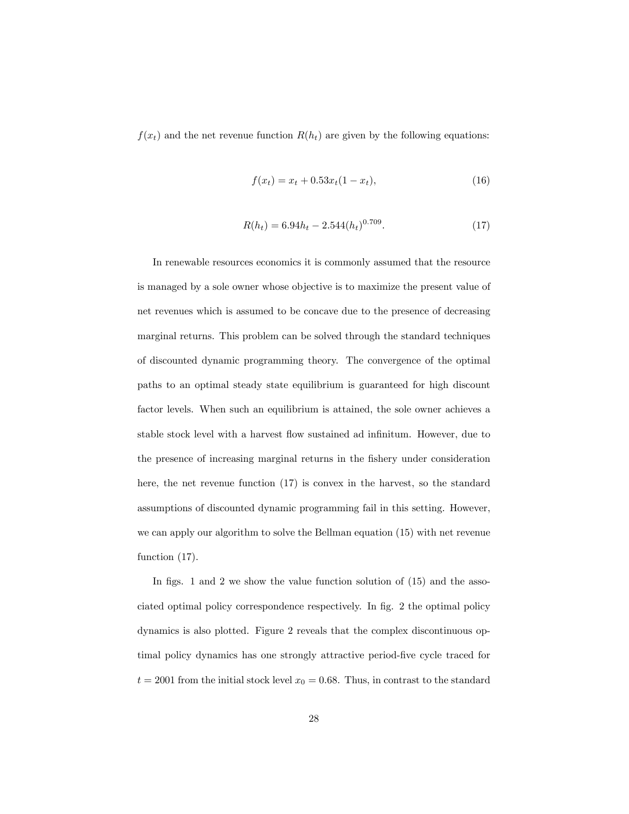$f(x_t)$  and the net revenue function  $R(h_t)$  are given by the following equations:

$$
f(x_t) = x_t + 0.53x_t(1 - x_t),
$$
\n(16)

$$
R(h_t) = 6.94h_t - 2.544(h_t)^{0.709}.
$$
\n(17)

In renewable resources economics it is commonly assumed that the resource is managed by a sole owner whose objective is to maximize the present value of net revenues which is assumed to be concave due to the presence of decreasing marginal returns. This problem can be solved through the standard techniques of discounted dynamic programming theory. The convergence of the optimal paths to an optimal steady state equilibrium is guaranteed for high discount factor levels. When such an equilibrium is attained, the sole owner achieves a stable stock level with a harvest flow sustained ad infinitum. However, due to the presence of increasing marginal returns in the fishery under consideration here, the net revenue function (17) is convex in the harvest, so the standard assumptions of discounted dynamic programming fail in this setting. However, we can apply our algorithm to solve the Bellman equation (15) with net revenue function  $(17)$ .

In figs. 1 and 2 we show the value function solution of  $(15)$  and the associated optimal policy correspondence respectively. In Ög. 2 the optimal policy dynamics is also plotted. Figure 2 reveals that the complex discontinuous optimal policy dynamics has one strongly attractive period-five cycle traced for  $t = 2001$  from the initial stock level  $x_0 = 0.68$ . Thus, in contrast to the standard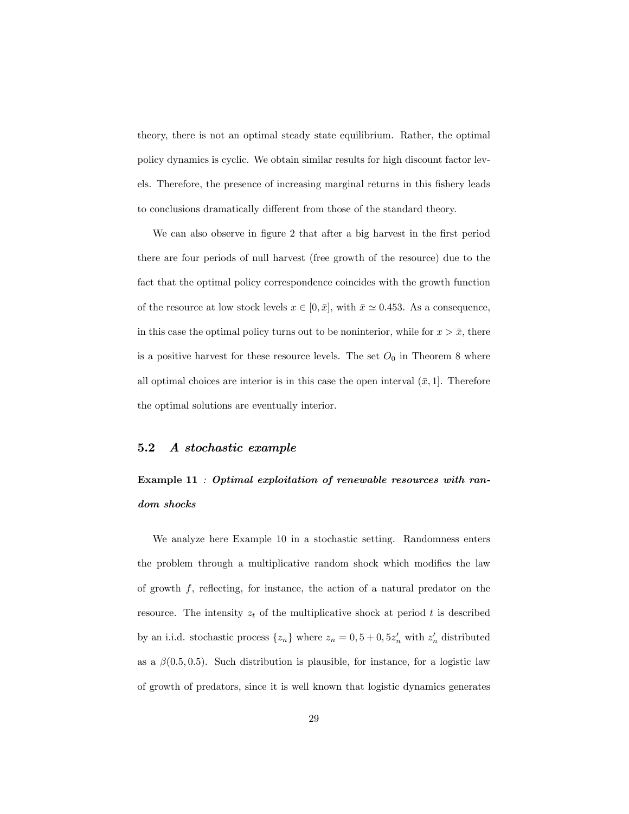theory, there is not an optimal steady state equilibrium. Rather, the optimal policy dynamics is cyclic. We obtain similar results for high discount factor levels. Therefore, the presence of increasing marginal returns in this fishery leads to conclusions dramatically different from those of the standard theory.

We can also observe in figure 2 that after a big harvest in the first period there are four periods of null harvest (free growth of the resource) due to the fact that the optimal policy correspondence coincides with the growth function of the resource at low stock levels  $x \in [0, \bar{x}]$ , with  $\bar{x} \approx 0.453$ . As a consequence, in this case the optimal policy turns out to be noninterior, while for  $x > \bar{x}$ , there is a positive harvest for these resource levels. The set  $O_0$  in Theorem 8 where all optimal choices are interior is in this case the open interval  $(\bar{x}, 1]$ . Therefore the optimal solutions are eventually interior.

#### 5.2 A stochastic example

## Example 11 : Optimal exploitation of renewable resources with random shocks

We analyze here Example 10 in a stochastic setting. Randomness enters the problem through a multiplicative random shock which modifies the law of growth  $f$ , reflecting, for instance, the action of a natural predator on the resource. The intensity  $z_t$  of the multiplicative shock at period t is described by an i.i.d. stochastic process  $\{z_n\}$  where  $z_n = 0, 5 + 0, 5z'_n$  with  $z'_n$  distributed as a  $\beta(0.5, 0.5)$ . Such distribution is plausible, for instance, for a logistic law of growth of predators, since it is well known that logistic dynamics generates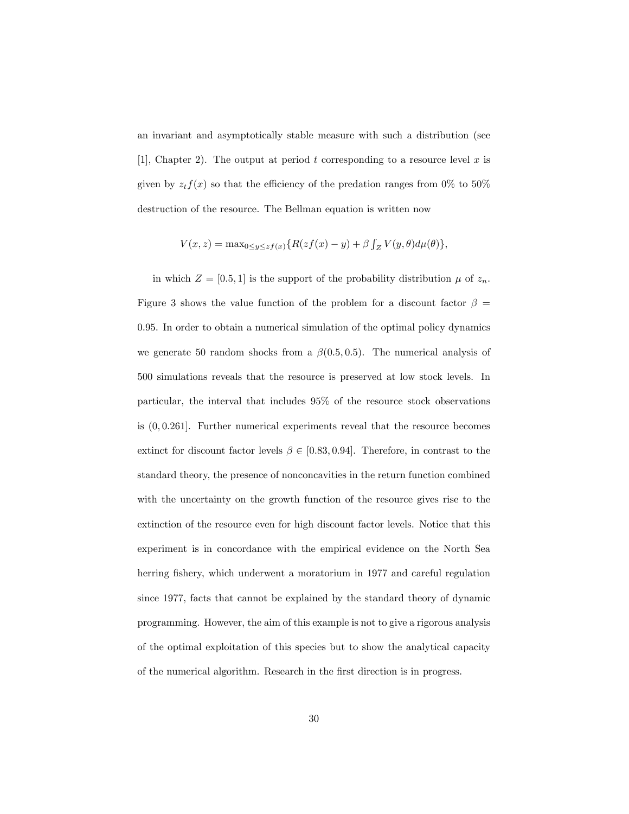an invariant and asymptotically stable measure with such a distribution (see [1], Chapter 2). The output at period t corresponding to a resource level x is given by  $z_t f(x)$  so that the efficiency of the predation ranges from 0% to 50% destruction of the resource. The Bellman equation is written now

$$
V(x, z) = \max_{0 \le y \le z} f(x) \{ R(zf(x) - y) + \beta \int_Z V(y, \theta) d\mu(\theta) \},
$$

in which  $Z = [0.5, 1]$  is the support of the probability distribution  $\mu$  of  $z_n$ . Figure 3 shows the value function of the problem for a discount factor  $\beta =$ 0:95. In order to obtain a numerical simulation of the optimal policy dynamics we generate 50 random shocks from a  $\beta(0.5, 0.5)$ . The numerical analysis of 500 simulations reveals that the resource is preserved at low stock levels. In particular, the interval that includes 95% of the resource stock observations is  $(0, 0.261]$ . Further numerical experiments reveal that the resource becomes extinct for discount factor levels  $\beta \in [0.83, 0.94]$ . Therefore, in contrast to the standard theory, the presence of nonconcavities in the return function combined with the uncertainty on the growth function of the resource gives rise to the extinction of the resource even for high discount factor levels. Notice that this experiment is in concordance with the empirical evidence on the North Sea herring fishery, which underwent a moratorium in 1977 and careful regulation since 1977, facts that cannot be explained by the standard theory of dynamic programming. However, the aim of this example is not to give a rigorous analysis of the optimal exploitation of this species but to show the analytical capacity of the numerical algorithm. Research in the first direction is in progress.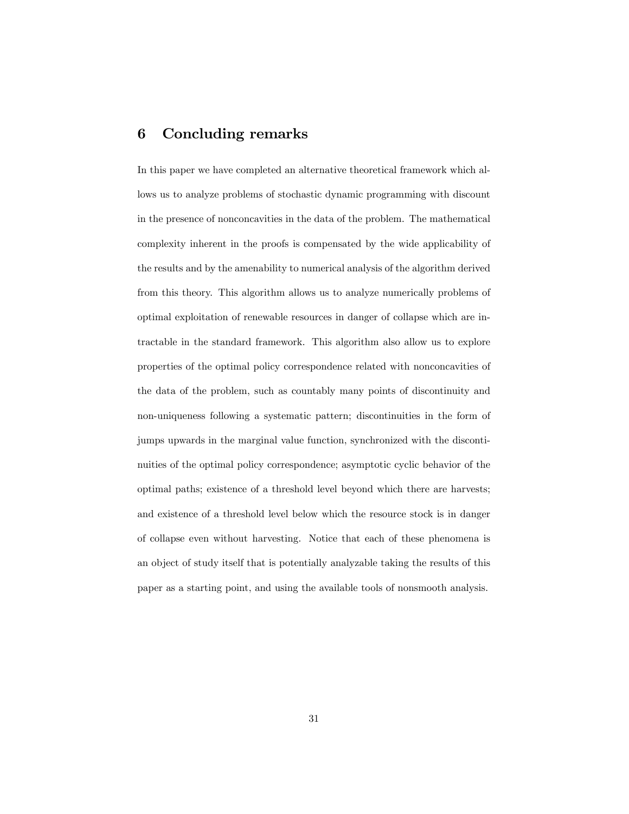## 6 Concluding remarks

In this paper we have completed an alternative theoretical framework which allows us to analyze problems of stochastic dynamic programming with discount in the presence of nonconcavities in the data of the problem. The mathematical complexity inherent in the proofs is compensated by the wide applicability of the results and by the amenability to numerical analysis of the algorithm derived from this theory. This algorithm allows us to analyze numerically problems of optimal exploitation of renewable resources in danger of collapse which are intractable in the standard framework. This algorithm also allow us to explore properties of the optimal policy correspondence related with nonconcavities of the data of the problem, such as countably many points of discontinuity and non-uniqueness following a systematic pattern; discontinuities in the form of jumps upwards in the marginal value function, synchronized with the discontinuities of the optimal policy correspondence; asymptotic cyclic behavior of the optimal paths; existence of a threshold level beyond which there are harvests; and existence of a threshold level below which the resource stock is in danger of collapse even without harvesting. Notice that each of these phenomena is an object of study itself that is potentially analyzable taking the results of this paper as a starting point, and using the available tools of nonsmooth analysis.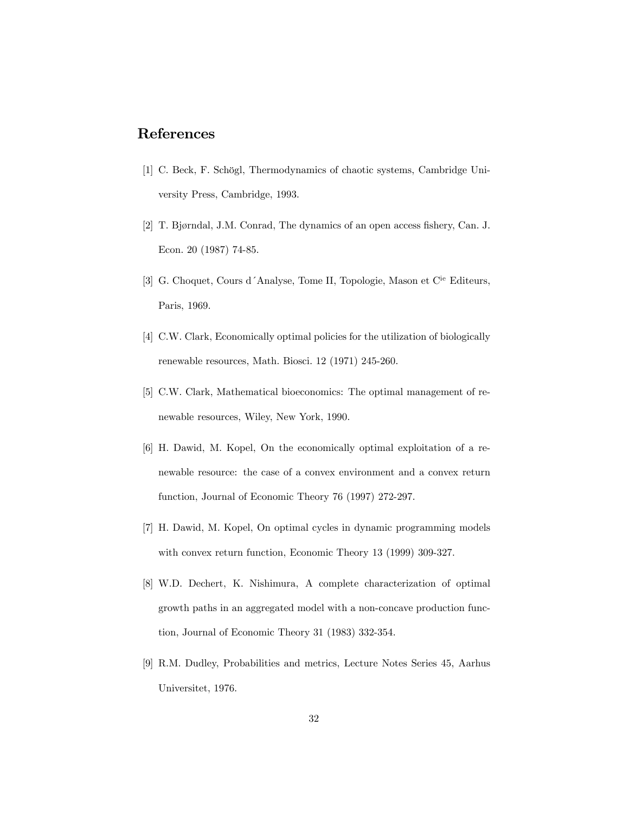## References

- [1] C. Beck, F. Schögl, Thermodynamics of chaotic systems, Cambridge University Press, Cambridge, 1993.
- [2] T. Bjørndal, J.M. Conrad, The dynamics of an open access fishery, Can. J. Econ. 20 (1987) 74-85.
- [3] G. Choquet, Cours d'Analyse, Tome II, Topologie, Mason et C<sup>ie</sup> Editeurs, Paris, 1969.
- [4] C.W. Clark, Economically optimal policies for the utilization of biologically renewable resources, Math. Biosci. 12 (1971) 245-260.
- [5] C.W. Clark, Mathematical bioeconomics: The optimal management of renewable resources, Wiley, New York, 1990.
- [6] H. Dawid, M. Kopel, On the economically optimal exploitation of a renewable resource: the case of a convex environment and a convex return function, Journal of Economic Theory 76 (1997) 272-297.
- [7] H. Dawid, M. Kopel, On optimal cycles in dynamic programming models with convex return function, Economic Theory 13 (1999) 309-327.
- [8] W.D. Dechert, K. Nishimura, A complete characterization of optimal growth paths in an aggregated model with a non-concave production function, Journal of Economic Theory 31 (1983) 332-354.
- [9] R.M. Dudley, Probabilities and metrics, Lecture Notes Series 45, Aarhus Universitet, 1976.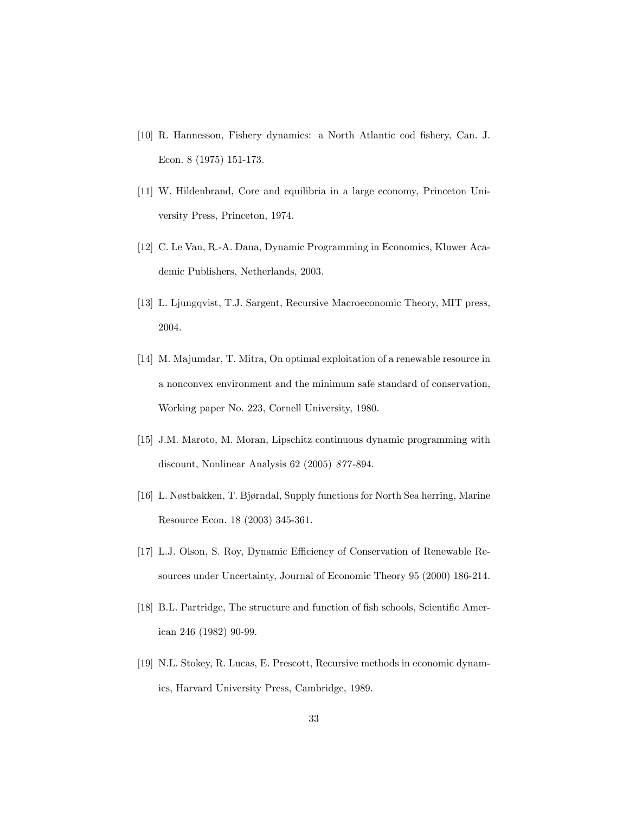- [10] R. Hannesson, Fishery dynamics: a North Atlantic cod fishery, Can. J. Econ. 8 (1975) 151-173.
- [11] W. Hildenbrand, Core and equilibria in a large economy, Princeton University Press, Princeton, 1974.
- [12] C. Le Van, R.-A. Dana, Dynamic Programming in Economics, Kluwer Academic Publishers, Netherlands, 2003.
- [13] L. Ljungqvist, T.J. Sargent, Recursive Macroeconomic Theory, MIT press, 2004.
- [14] M. Majumdar, T. Mitra, On optimal exploitation of a renewable resource in a nonconvex environment and the minimum safe standard of conservation, Working paper No. 223, Cornell University, 1980.
- [15] J.M. Maroto, M. Moran, Lipschitz continuous dynamic programming with discount, Nonlinear Analysis 62 (2005) 877 -894.
- [16] L. Nøstbakken, T. Bjørndal, Supply functions for North Sea herring, Marine Resource Econ. 18 (2003) 345-361.
- [17] L.J. Olson, S. Roy, Dynamic Efficiency of Conservation of Renewable Resources under Uncertainty, Journal of Economic Theory 95 (2000) 186-214.
- [18] B.L. Partridge, The structure and function of fish schools, Scientific American 246 (1982) 90-99.
- [19] N.L. Stokey, R. Lucas, E. Prescott, Recursive methods in economic dynamics, Harvard University Press, Cambridge, 1989.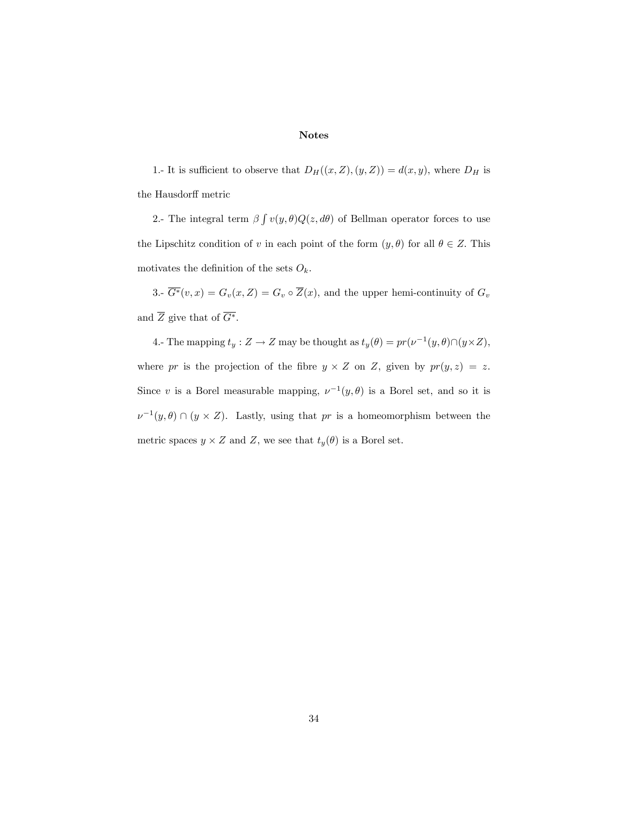#### Notes

1.- It is sufficient to observe that  $D_H((x, Z), (y, Z)) = d(x, y)$ , where  $D_H$  is the Hausdorff metric

2.- The integral term  $\beta \int v(y,\theta)Q(z, d\theta)$  of Bellman operator forces to use the Lipschitz condition of v in each point of the form  $(y, \theta)$  for all  $\theta \in Z$ . This motivates the definition of the sets  $O_k$ .

3.-  $\overline{G^*}(v, x) = G_v(x, Z) = G_v \circ \overline{Z}(x)$ , and the upper hemi-continuity of  $G_v$ and  $\overline{Z}$  give that of  $\overline{G^*}$ .

4.- The mapping  $t_y : Z \to Z$  may be thought as  $t_y(\theta) = pr(\nu^{-1}(y, \theta) \cap (y \times Z),$ where pr is the projection of the fibre  $y \times Z$  on Z, given by  $pr(y, z) = z$ . Since v is a Borel measurable mapping,  $\nu^{-1}(y,\theta)$  is a Borel set, and so it is  $\nu^{-1}(y,\theta) \cap (y \times Z)$ . Lastly, using that pr is a homeomorphism between the metric spaces  $y \times Z$  and Z, we see that  $t_y(\theta)$  is a Borel set.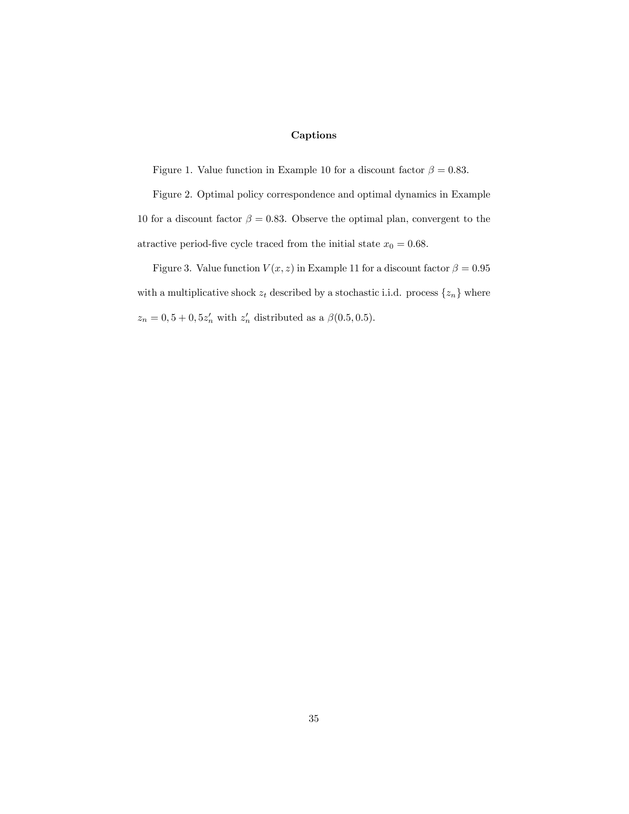## Captions

Figure 1. Value function in Example 10 for a discount factor  $\beta = 0.83$ .

Figure 2. Optimal policy correspondence and optimal dynamics in Example 10 for a discount factor  $\beta = 0.83$ . Observe the optimal plan, convergent to the atractive period-five cycle traced from the initial state  $x_0 = 0.68$ .

Figure 3. Value function  $V(x, z)$  in Example 11 for a discount factor  $\beta = 0.95$ with a multiplicative shock  $z_t$  described by a stochastic i.i.d. process  $\{z_n\}$  where  $z_n = 0, 5 + 0, 5z'_n$  with  $z'_n$  distributed as a  $\beta(0.5, 0.5)$ .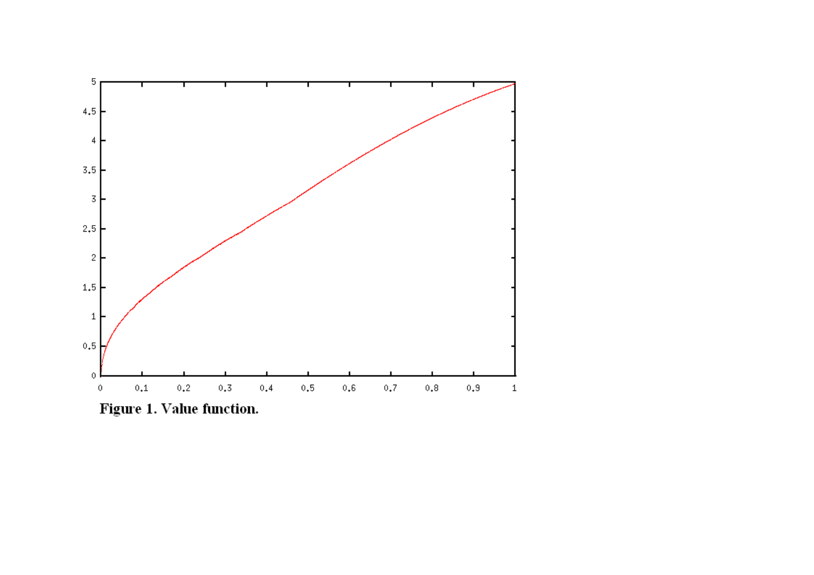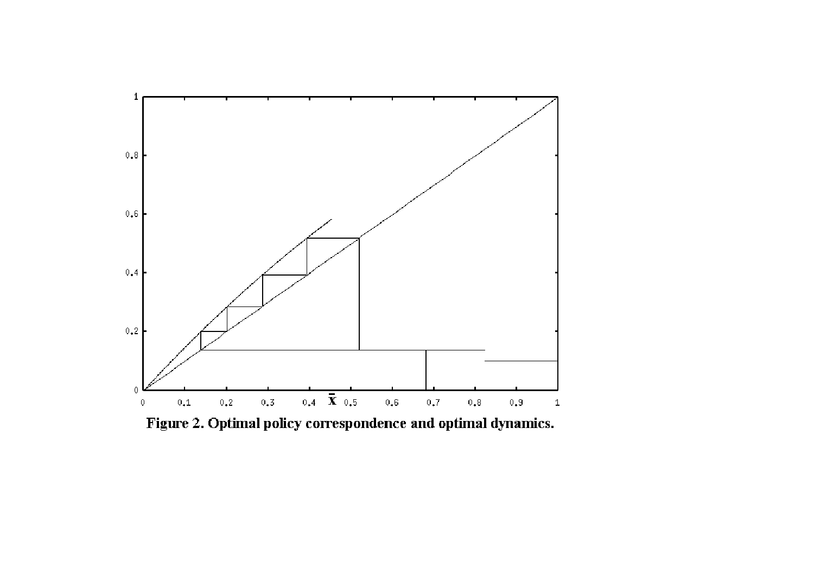

Figure 2. Optimal policy correspondence and optimal dynamics.